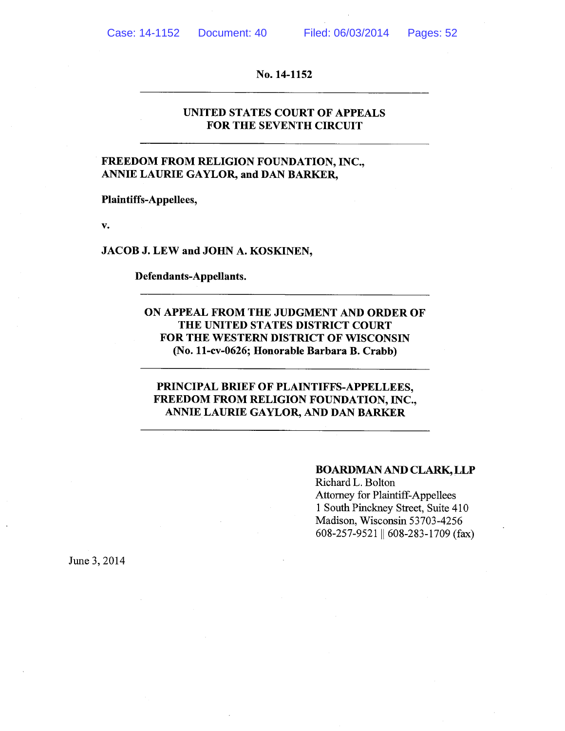## UNITED STATES COURT OF APPEALS FOR THE SEVENTH CIRCUIT

## FREEDOM FROM RELIGION FOUNDATION, INC., ANNIE LAURIE GAYLOR, and DAN BARKER,

Plaintiffs-Appellees,

V.

JACOB J. LEW and JOHN A. KOSKINEN,

Defendants-Appellants.

ON APPEAL FROM THE JUDGMENT AND ORDER OF THE UNITED STATES DISTRICT COURT FOR THE WESTERN DISTRICT OF WISCONSIN (No. 11-cv-0626; Honorable Barbara B. Crabb)

## PRINCIPAL BRIEF OF PLAINTIFFS-APPELLEES, FREEDOM FROM RELIGION FOUNDATION, INC., ANNIE LAURIE GAYLOR, AND DAN BARKER

#### BOARDMAN AND CLARK,LLP

Richard L. Bolton Attorney for Plaintiff-Appellees <sup>1</sup> South Pinckney Street, Suite 410 Madison, Wisconsin 53703-4256 608-257-9521 || 608-283-1709 (fax)

June 3, 2014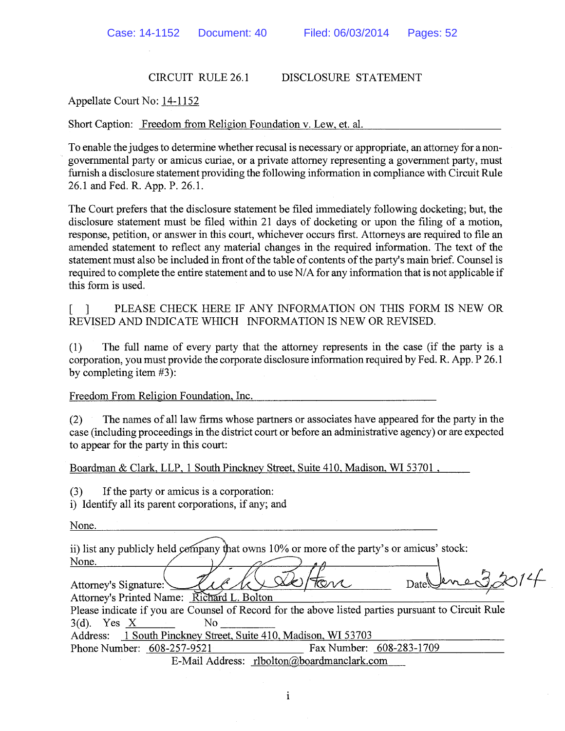## CIRCUIT RULE 26.1 DISCLOSURE STATEMENT

Appellate Court No: 14-1152

Short Caption: Freedom from Religion Foundation v. Lew, et. al.

To enable the judges to determine whether recusal is necessary or appropriate, an attorney for a non governmental party or amicus curiae, or a private attorney representing a government party, must furnish a disclosure statement providing the following information in compliance with Circuit Rule 26.1 and Fed. R. App. P. 26.1.

The Court prefers that the disclosure statement be filed immediately following docketing; but, the disclosure statement must be filed within 21 days of docketing or upon the filing of a motion, response, petition, or answer in this court, whichever occurs first. Attorneys are required to file an amended statement to reflect any material changes in the required information. The text of the statement must also be included in front of the table of contents of the party's main brief. Counsel is required to complete the entire statement and to use N/A for any information that is not applicable if this form is used.

[ ] PLEASE CHECK HERE IF ANY INFORMATION ON THIS FORM IS NEW OR REVISED AND INDICATE WHICH INFORMATION IS NEW OR REVISED.

(1) The full name of every party that the attorney represents in the case (if the party is a corporation, you must provide the corporate disclosure information required by Fed. R. App. P 26.1 by completing item #3):

Freedom From Religion Foundation, Inc.

(2) The names of all law firms whose partners or associates have appeared for the party in the case (including proceedings in the district court or before an administrative agency) or are expected to appear for the party in this court:

Boardman & Clark, LLP, 1 South Pinckney Street, Suite 410, Madison, WI 53701,

(3) If the party or amicus is a corporation:

i) Identify all its parent corporations, if any; and

None.

ii) list any publicly held company that owns 10% or more of the party's or amicus' stock:<br>
None.<br>
Attorney's Signature:<br>
Attorney's Printed Name: Richard L. Bolton<br>
Attorney's Printed Name: Richard L. Bolton None.

Attorney's Printed Name: Richard L. Bolton

Please indicate if you are Counsel of Record for the above listed parties pursuant to Circuit Rule  $3(d)$ . Yes X No

Address: 1 South Pinckney Street, Suite 410, Madison, WI 53703

Phone Number: 608-257-9521 Fax Number: 608-283-1709 E-Mail Address: rlbolton@boardmanclark.com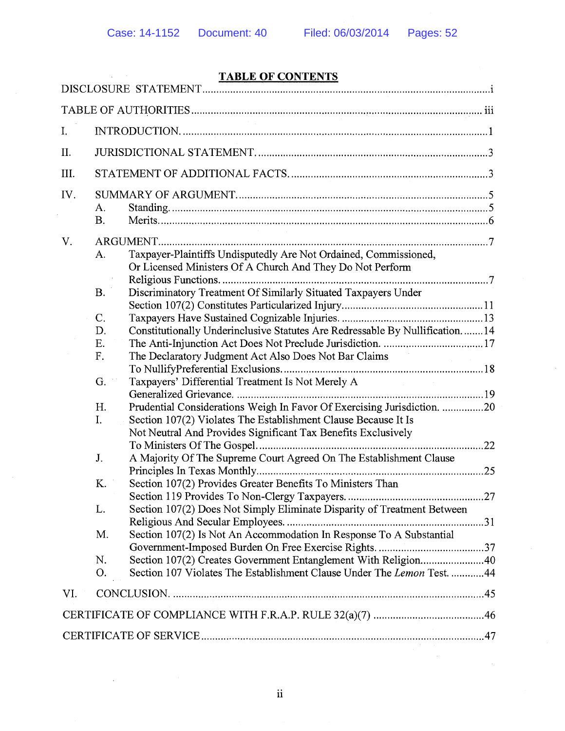$\Delta \sim 10^{11}$ 

# TABLE OF CONTENTS

| I.   |                                                                                                                                                                                                                                                                                                                                                                                                                                                                                                                                                                                                                                                                                                                                                                                                                                                                                                                                                                                                                                                                             |  |  |  |  |
|------|-----------------------------------------------------------------------------------------------------------------------------------------------------------------------------------------------------------------------------------------------------------------------------------------------------------------------------------------------------------------------------------------------------------------------------------------------------------------------------------------------------------------------------------------------------------------------------------------------------------------------------------------------------------------------------------------------------------------------------------------------------------------------------------------------------------------------------------------------------------------------------------------------------------------------------------------------------------------------------------------------------------------------------------------------------------------------------|--|--|--|--|
| II.  |                                                                                                                                                                                                                                                                                                                                                                                                                                                                                                                                                                                                                                                                                                                                                                                                                                                                                                                                                                                                                                                                             |  |  |  |  |
| III. |                                                                                                                                                                                                                                                                                                                                                                                                                                                                                                                                                                                                                                                                                                                                                                                                                                                                                                                                                                                                                                                                             |  |  |  |  |
| IV.  | A.<br><b>B.</b>                                                                                                                                                                                                                                                                                                                                                                                                                                                                                                                                                                                                                                                                                                                                                                                                                                                                                                                                                                                                                                                             |  |  |  |  |
| V.   | Taxpayer-Plaintiffs Undisputedly Are Not Ordained, Commissioned,<br>A.<br>Or Licensed Ministers Of A Church And They Do Not Perform<br>Discriminatory Treatment Of Similarly Situated Taxpayers Under<br><b>B.</b><br>C.<br>Constitutionally Underinclusive Statutes Are Redressable By Nullification14<br>D.<br>Ε.<br>F.<br>The Declaratory Judgment Act Also Does Not Bar Claims<br>Taxpayers' Differential Treatment Is Not Merely A<br>G.<br>Prudential Considerations Weigh In Favor Of Exercising Jurisdiction. 20<br>H.<br>I.<br>Section 107(2) Violates The Establishment Clause Because It Is<br>Not Neutral And Provides Significant Tax Benefits Exclusively<br>A Majority Of The Supreme Court Agreed On The Establishment Clause<br>J.<br>Section 107(2) Provides Greater Benefits To Ministers Than<br>K.<br>L.<br>Section 107(2) Does Not Simply Eliminate Disparity of Treatment Between<br>Section 107(2) Is Not An Accommodation In Response To A Substantial<br>M.<br>N.<br>Section 107 Violates The Establishment Clause Under The Lemon Test. 44<br>O. |  |  |  |  |
| VI.  |                                                                                                                                                                                                                                                                                                                                                                                                                                                                                                                                                                                                                                                                                                                                                                                                                                                                                                                                                                                                                                                                             |  |  |  |  |
|      |                                                                                                                                                                                                                                                                                                                                                                                                                                                                                                                                                                                                                                                                                                                                                                                                                                                                                                                                                                                                                                                                             |  |  |  |  |
|      |                                                                                                                                                                                                                                                                                                                                                                                                                                                                                                                                                                                                                                                                                                                                                                                                                                                                                                                                                                                                                                                                             |  |  |  |  |
|      |                                                                                                                                                                                                                                                                                                                                                                                                                                                                                                                                                                                                                                                                                                                                                                                                                                                                                                                                                                                                                                                                             |  |  |  |  |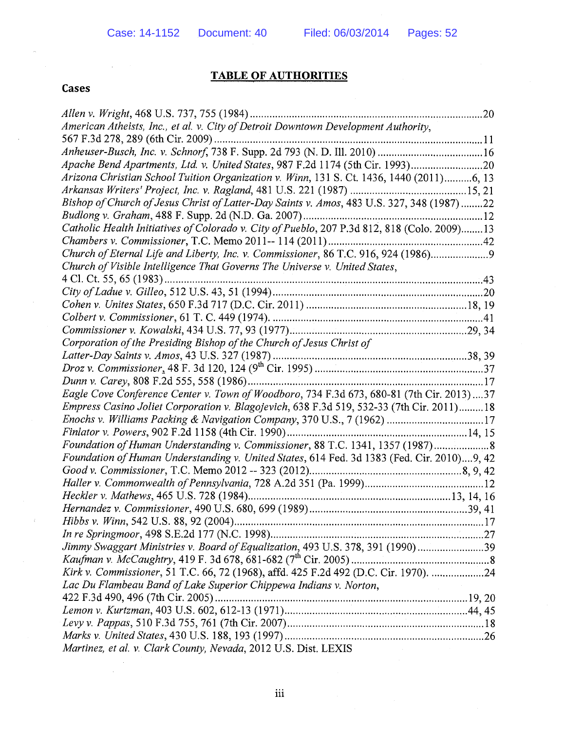## TABLE OF AUTHORITIES

## Cases

 $\bar{z}$ 

| American Atheists, Inc., et al. v. City of Detroit Downtown Development Authority,          |
|---------------------------------------------------------------------------------------------|
|                                                                                             |
|                                                                                             |
| Apache Bend Apartments, Ltd. v. United States, 987 F.2d 1174 (5th Cir. 1993)20              |
| Arizona Christian School Tuition Organization v. Winn, 131 S. Ct. 1436, 1440 (2011)6, 13    |
|                                                                                             |
| Bishop of Church of Jesus Christ of Latter-Day Saints v. Amos, 483 U.S. 327, 348 (1987)22   |
|                                                                                             |
| Catholic Health Initiatives of Colorado v. City of Pueblo, 207 P.3d 812, 818 (Colo. 2009)13 |
|                                                                                             |
| Church of Eternal Life and Liberty, Inc. v. Commissioner, 86 T.C. 916, 924 (1986)9          |
| Church of Visible Intelligence That Governs The Universe v. United States,                  |
|                                                                                             |
|                                                                                             |
|                                                                                             |
|                                                                                             |
|                                                                                             |
| Corporation of the Presiding Bishop of the Church of Jesus Christ of                        |
|                                                                                             |
|                                                                                             |
|                                                                                             |
| Eagle Cove Conference Center v. Town of Woodboro, 734 F.3d 673, 680-81 (7th Cir. 2013)37    |
| Empress Casino Joliet Corporation v. Blagojevich, 638 F.3d 519, 532-33 (7th Cir. 2011) 18   |
| Enochs v. Williams Packing & Navigation Company, 370 U.S., 7 (1962) 17                      |
|                                                                                             |
| Foundation of Human Understanding v. Commissioner, 88 T.C. 1341, 1357 (1987) 8              |
| Foundation of Human Understanding v. United States, 614 Fed. 3d 1383 (Fed. Cir. 2010)9, 42  |
|                                                                                             |
|                                                                                             |
|                                                                                             |
|                                                                                             |
|                                                                                             |
|                                                                                             |
| Jimmy Swaggart Ministries v. Board of Equalization, 493 U.S. 378, 391 (1990) 39             |
|                                                                                             |
| Kirk v. Commissioner, 51 T.C. 66, 72 (1968), affd. 425 F.2d 492 (D.C. Cir. 1970). 24        |
| Lac Du Flambeau Band of Lake Superior Chippewa Indians v. Norton,                           |
|                                                                                             |
|                                                                                             |
|                                                                                             |
|                                                                                             |
| Martinez, et al. v. Clark County, Nevada, 2012 U.S. Dist. LEXIS                             |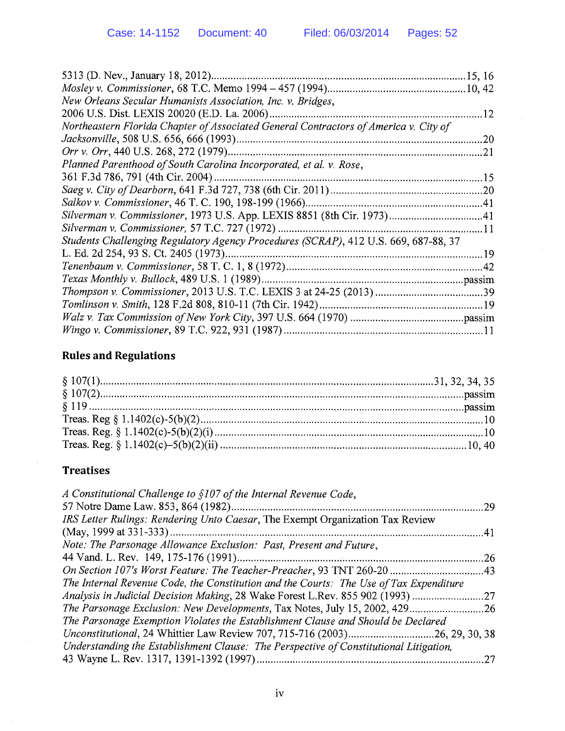|  | Case: 14-1152   Document: 40                                       | Filed: 06/03/2014                                                                    | Pages: 52 |
|--|--------------------------------------------------------------------|--------------------------------------------------------------------------------------|-----------|
|  |                                                                    |                                                                                      |           |
|  |                                                                    |                                                                                      |           |
|  | New Orleans Secular Humanists Association, Inc. v. Bridges,        |                                                                                      |           |
|  |                                                                    |                                                                                      |           |
|  |                                                                    | Northeastern Florida Chapter of Associated General Contractors of America v. City of |           |
|  |                                                                    |                                                                                      |           |
|  |                                                                    |                                                                                      |           |
|  | Planned Parenthood of South Carolina Incorporated, et al. v. Rose, |                                                                                      |           |
|  |                                                                    |                                                                                      |           |
|  |                                                                    |                                                                                      |           |
|  |                                                                    |                                                                                      |           |
|  |                                                                    |                                                                                      |           |
|  |                                                                    |                                                                                      |           |
|  |                                                                    | Students Challenging Regulatory Agency Procedures (SCRAP), 412 U.S. 669, 687-88, 37  |           |
|  |                                                                    |                                                                                      |           |
|  |                                                                    |                                                                                      |           |
|  |                                                                    |                                                                                      |           |
|  |                                                                    |                                                                                      |           |
|  |                                                                    |                                                                                      |           |
|  |                                                                    |                                                                                      |           |
|  |                                                                    |                                                                                      |           |

# Rules and Regulations

# Treatises

| A Constitutional Challenge to §107 of the Internal Revenue Code,                       |     |
|----------------------------------------------------------------------------------------|-----|
|                                                                                        | .29 |
| IRS Letter Rulings: Rendering Unto Caesar, The Exempt Organization Tax Review          |     |
|                                                                                        |     |
| Note: The Parsonage Allowance Exclusion: Past, Present and Future,                     |     |
|                                                                                        |     |
|                                                                                        |     |
| The Internal Revenue Code, the Constitution and the Courts: The Use of Tax Expenditure |     |
| Analysis in Judicial Decision Making, 28 Wake Forest L.Rev. 855 902 (1993) 27          |     |
|                                                                                        |     |
| The Parsonage Exemption Violates the Establishment Clause and Should be Declared       |     |
| Unconstitutional, 24 Whittier Law Review 707, 715-716 (2003)26, 29, 30, 38             |     |
| Understanding the Establishment Clause: The Perspective of Constitutional Litigation,  |     |
|                                                                                        |     |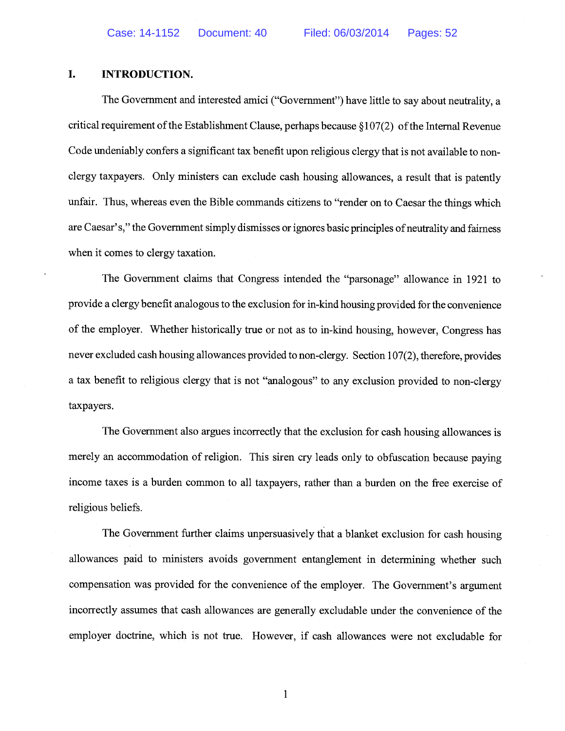## I. INTRODUCTION.

The Government and interested amici ("Government") have little to say about neutrality, a critical requirement of the Establishment Clause, perhaps because  $\S107(2)$  of the Internal Revenue Code undeniably confers a significant tax benefit upon religious clergy that is not available to nonclergy taxpayers. Only ministers can exclude cash housing allowances, a result that is patently unfair. Thus, whereas even the Bible commands citizens to "render on to Caesar the things which are Caesar's," the Government simply dismisses or ignores basic principles of neutrality and fairness when it comes to clergy taxation.

The Government claims that Congress intended the "parsonage" allowance in 1921 to provide a clergy benefit analogous to the exclusion for in-kind housing provided for the convenience of the employer. Whether historically true or not as to in-kind housing, however, Congress has never excluded cash housing allowances provided to non-clergy. Section 107(2), therefore, provides a tax benefit to religious clergy that is not "analogous" to any exclusion provided to non-clergy taxpayers.

The Government also argues incorrectly that the exclusion for cash housing allowances is merely an accommodation of religion. This siren cry leads only to obfuscation because paying income taxes is a burden common to all taxpayers, rather than a burden on the free exercise of religious beliefs.

The Government further claims unpersuasively that a blanket exclusion for cash housing allowances paid to ministers avoids government entanglement in determining whether such compensation was provided for the convenience of the employer. The Government's argument incorrectly assumes that cash allowances are generally excludable under the convenience of the employer doctrine, which is not true. However, if cash allowances were not excludable for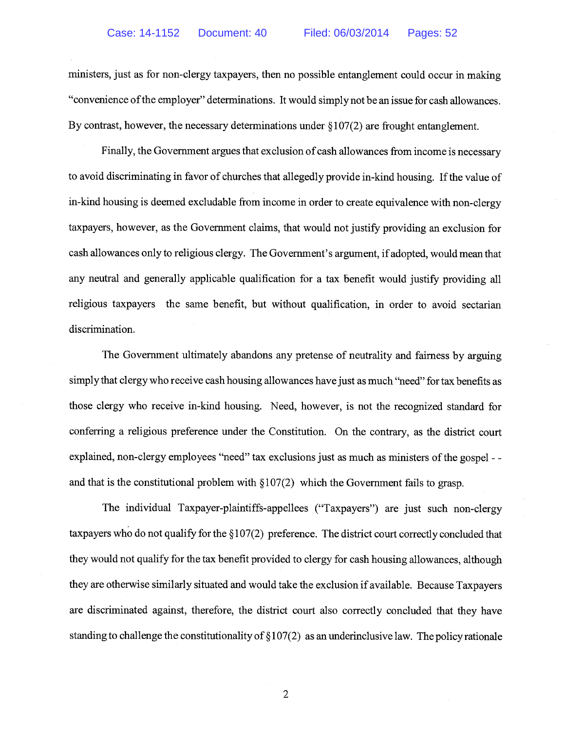ministers, just as for non-clergy taxpayers, then no possible entanglement could occur in making "convenience of the employer" determinations. It would simply not be an issue for cash allowances. By contrast, however, the necessary determinations under §107(2) are frought entanglement.

Finally, the Government argues that exclusion of cash allowances from income is necessary to avoid discriminating in favor of churches that allegedly provide in-kind housing. If the value of in-kind housing is deemed excludable from income in order to create equivalence with non-clergy taxpayers, however, as the Government claims, that would not justify providing an exclusion for cash allowances only to religious clergy. The Government's argument, if adopted, would mean that any neutral and generally applicable qualification for a tax benefit would justify providing all religious taxpayers the same benefit, but without qualification, in order to avoid sectarian discrimination.

The Government ultimately abandons any pretense of neutrality and fairness by arguing simply that clergy who receive cash housing allowances have just as much "need" for tax benefits as those clergy who receive in-kind housing. Need, however, is not the recognized standard for conferring a religious preference under the Constitution. On the contrary, as the district court explained, non-clergy employees "need" tax exclusions just as much as ministers of the gospel - and that is the constitutional problem with  $\S107(2)$  which the Government fails to grasp.

The individual Taxpayer-plaintiffs-appellees ("Taxpayers") are just such non-clergy taxpayers who do not qualify for the § 107(2) preference. The district court correctly concluded that they would not qualify for the tax benefit provided to clergy for cash housing allowances, although they are otherwise similarly situated and would take the exclusion if available. Because Taxpayers are discriminated against, therefore, the district court also correctly concluded that they have standing to challenge the constitutionality of § 107(2) as an underinclusive law. The policy rationale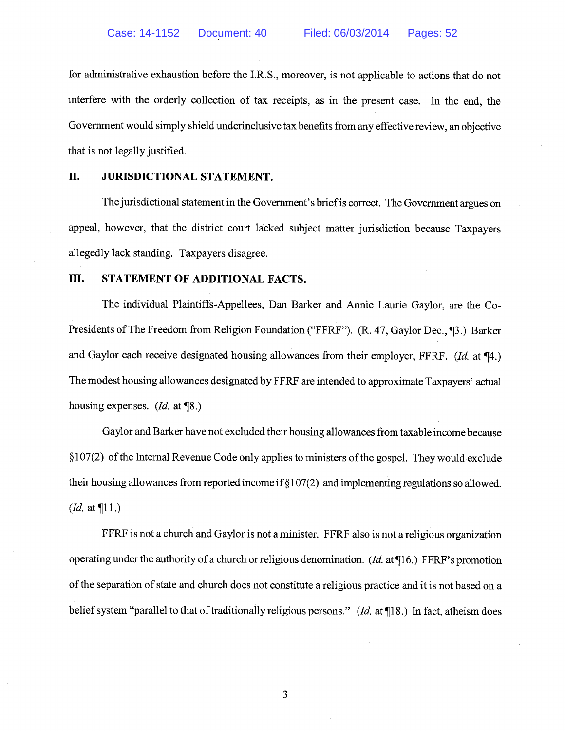for administrative exhaustion before the I.R.S., moreover, is not applicable to actions that do not interfere with the orderly collection of tax receipts, as in the present case. In the end, the Government would simply shield underinclusive tax benefits from any effective review, an objective that is not legally justified.

#### II. JURISDICTIONAL STATEMENT.

The jurisdictional statement in the Government's briefis correct. The Government argues on appeal, however, that the district court lacked subject matter jurisdiction because Taxpayers allegedly lack standing. Taxpayers disagree.

### III. STATEMENT OF ADDITIONAL FACTS.

The individual Plaintiffs-Appellees, Dan Barker and Annie Laurie Gaylor, are the Co Presidents of The Freedom from Religion Foundation ("FFRF"). (R. 47, Gaylor Dec., 13.) Barker and Gaylor each receive designated housing allowances from their employer, FFRF. (Id. at ¶4.) The modest housing allowances designated by FFRF are intended to approximate Taxpayers' actual housing expenses. (*Id.* at \\van\\side 0.)

Gaylor and Barker have not excluded their housing allowances from taxable income because  $§107(2)$  of the Internal Revenue Code only applies to ministers of the gospel. They would exclude their housing allowances from reported income if § 107(2) and implementing regulations so allowed. (*Id.* at  $\P$ 11.)

FFRF is not a church and Gaylor is not a minister. FFRF also is not a religious organization operating under the authority of a church or religious denomination. (Id. at ¶16.) FFRF's promotion of the separation of state and church does not constitute a religious practice and it is not based on a belief system "parallel to that of traditionally religious persons." (Id. at  $\P$ 18.) In fact, atheism does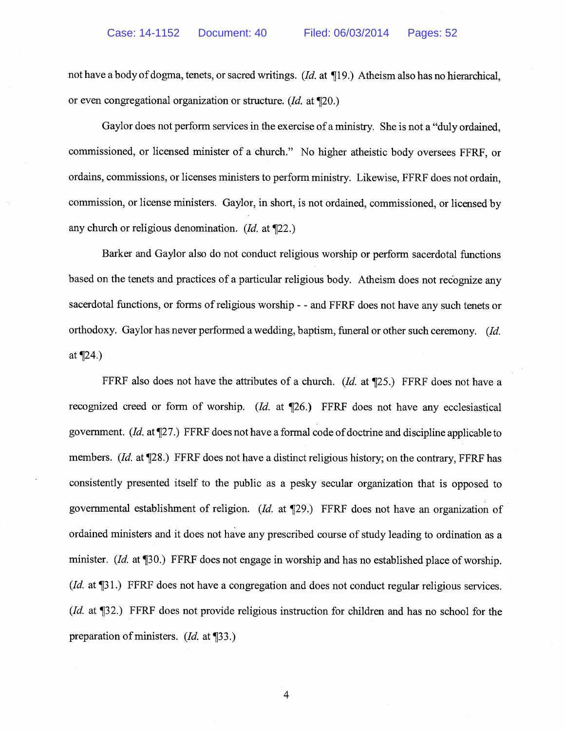not have a body of dogma, tenets, or sacred writings. (Id. at ¶19.) Atheism also has no hierarchical, or even congregational organization or structure. (Id. at ¶20.)

Gaylor does not perform services in the exercise of a ministry. She is not a "duly ordained, commissioned, or licensed minister of a church." No higher atheistic body oversees FFRF, or ordains, commissions, or licenses ministers to perform ministry. Likewise, FFRF does not ordain, commission, or license ministers. Gaylor, in short, is not ordained, commissioned, or licensed by any church or religious denomination. (Id. at ¶22.)

Barker and Gaylor also do not conduct religious worship or perform sacerdotal functions based on the tenets and practices of a particular religious body. Atheism does not recognize any sacerdotal functions, or forms of religious worship - - and FFRF does not have any such tenets or orthodoxy. Gaylor has never performed a wedding, baptism, funeral or other such ceremony. (Id. at ¶24.)

FFRF also does not have the attributes of a church. (Id. at  $\P$ 25.) FFRF does not have a recognized creed or form of worship. (Id. at ¶26.) FFRF does not have any ecclesiastical government. (Id. at  $\P$ 27.) FFRF does not have a formal code of doctrine and discipline applicable to members. (Id. at ¶28.) FFRF does not have a distinct religious history; on the contrary, FFRF has consistently presented itself to the public as a pesky secular organization that is opposed to governmental establishment of religion. (Id. at ¶29.) FFRF does not have an organization of ordained ministers and it does not have any prescribed course of study leading to ordination as a minister. (Id. at  $\P$ 30.) FFRF does not engage in worship and has no established place of worship. (*Id.* at [31.) FFRF does not have a congregation and does not conduct regular religious services. (Id. at ¶32.) FFRF does not provide religious instruction for children and has no school for the preparation of ministers. (Id. at ¶33.)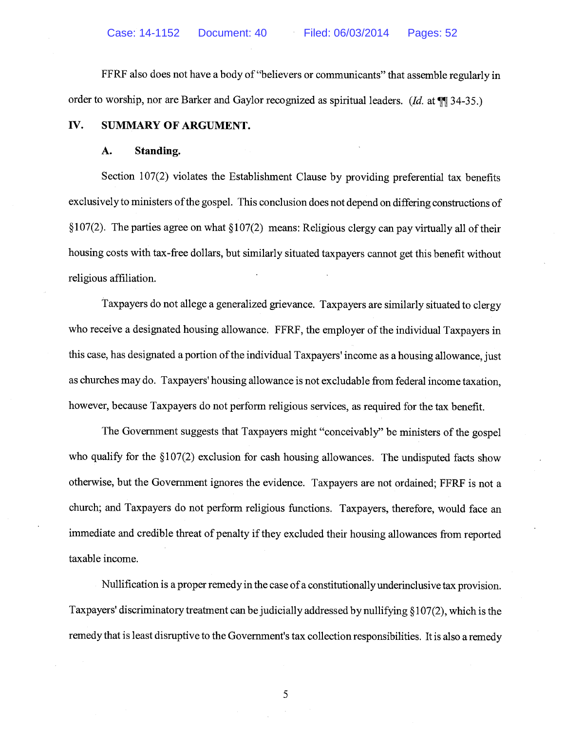FFRF also does not have a body of "believers or communicants" that assemble regularly in order to worship, nor are Barker and Gaylor recognized as spiritual leaders. (Id. at  $\P$ ] 34-35.)

## IV. SUMMARY OF ARGUMENT.

#### A. Standing.

Section 107(2) violates the Establishment Clause by providing preferential tax benefits exclusively to ministers of the gospel. This conclusion does not depend on differing constructions of §107(2). The parties agree on what §107(2) means: Religious clergy can pay virtually all of their housing costs with tax-free dollars, but similarly situated taxpayers cannot get this benefit without religious affiliation.

Taxpayers do not allege a generalized grievance. Taxpayers are similarly situated to clergy who receive a designated housing allowance. FFRF, the employer of the individual Taxpayers in this case, has designated a portion of the individual Taxpayers' income as a housing allowance, just as churches may do. Taxpayers' housing allowance is not excludable from federal income taxation, however, because Taxpayers do not perform religious services, as required for the tax benefit.

The Government suggests that Taxpayers might "conceivably" be ministers of the gospel who qualify for the  $\S107(2)$  exclusion for cash housing allowances. The undisputed facts show otherwise, but the Government ignores the evidence. Taxpayers are not ordained; FFRF is not a church; and Taxpayers do not perform religious functions. Taxpayers, therefore, would face an immediate and credible threat of penalty if they excluded their housing allowances from reported taxable income.

Nullification is a proper remedy in the case ofa constitutionally underinclusive tax provision. Taxpayers' discriminatory treatment can be judicially addressed by nullifying § 107(2), which is the remedy that is least disruptive to the Government's tax collection responsibilities. It is also a remedy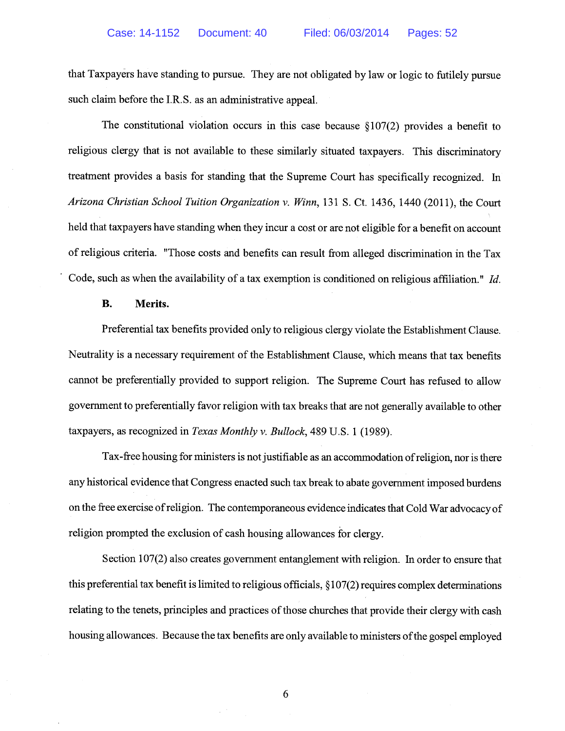that Taxpayers have standing to pursue. They are not obligated by law or logic to futilely pursue such claim before the I.R.S. as an administrative appeal.

The constitutional violation occurs in this case because  $\S107(2)$  provides a benefit to religious clergy that is not available to these similarly situated taxpayers. This discriminatory treatment provides a basis for standing that the Supreme Court has specifically recognized. In Arizona Christian School Tuition Organization v. Winn, 131 S. Ct. 1436, 1440 (2011), the Court held that taxpayers have standing when they incur a cost or are not eligible for a benefit on account of religious criteria. "Those costs and benefits can result from alleged discrimination in the Tax Code, such as when the availability of a tax exemption is conditioned on religious affiliation." Id.

#### B. Merits.

Preferential tax benefits provided only to religious clergy violate the Establishment Clause. Neutrality is a necessary requirement of the Establishment Clause, which means that tax benefits cannot be preferentially provided to support religion. The Supreme Court has refused to allow government to preferentially favor religion with tax breaks that are not generally available to other taxpayers, as recognized in Texas Monthly v. Bullock, 489 U.S. <sup>1</sup> (1989).

Tax-free housing for ministers is not justifiable as an accommodation of religion, nor is there any historical evidence that Congress enacted such tax break to abate government imposed burdens on the free exercise ofreligion. The contemporaneous evidence indicates that Cold War advocacy of religion prompted the exclusion of cash housing allowances for clergy.

Section 107(2) also creates government entanglement with religion. In order to ensure that this preferential tax benefit is limited to religious officials, § 107(2) requires complex determinations relating to the tenets, principles and practices of those churches that provide their clergy with cash housing allowances. Because the tax benefits are only available to ministers of the gospel employed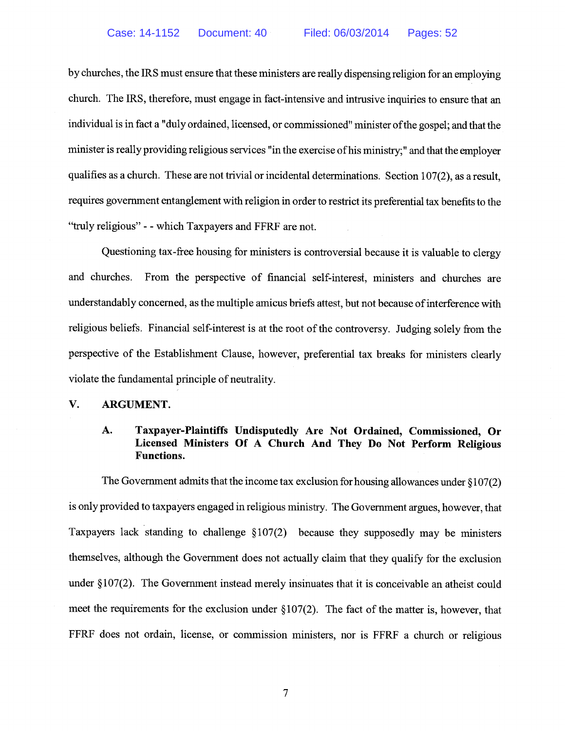by churches, the IRS must ensure that these ministers are really dispensing religion for an employing church. The IRS, therefore, must engage in fact-intensive and intrusive inquiries to ensure that an individual is in fact a "duly ordained, licensed, or commissioned" minister ofthe gospel; and that the minister is really providing religious services "in the exercise of his ministry;" and that the employer qualifies as a church. These are not trivial or incidental determinations. Section 107(2), as a result, requires government entanglement with religion in order to restrict its preferential tax benefits to the "truly religious" - -which Taxpayers and FFRF are not.

Questioning tax-free housing for ministers is controversial because it is valuable to clergy and churches. From the perspective of financial self-interest, ministers and churches are understandably concerned, as the multiple amicus briefs attest, but not because of interference with religious beliefs. Financial self-interest is at the root of the controversy. Judging solely from the perspective of the Establishment Clause, however, preferential tax breaks for ministers clearly violate the fundamental principle of neutrality.

### V. ARGUMENT.

## A. Taxpayer-Plaintiffs Undisputedly Are Not Ordained, Commissioned, Or Licensed Ministers Of A Church And They Do Not Perform Religious Functions.

The Government admits that the income tax exclusion for housing allowances under  $\S107(2)$ is only provided to taxpayers engaged in religious ministry. The Government argues, however, that Taxpayers lack standing to challenge § 107(2) because they supposedly may be ministers themselves, although the Government does not actually claim that they qualify for the exclusion under § 107(2). The Government instead merely insinuates that it is conceivable an atheist could meet the requirements for the exclusion under  $\S107(2)$ . The fact of the matter is, however, that FFRF does not ordain, license, or commission ministers, nor is FFRF a church or religious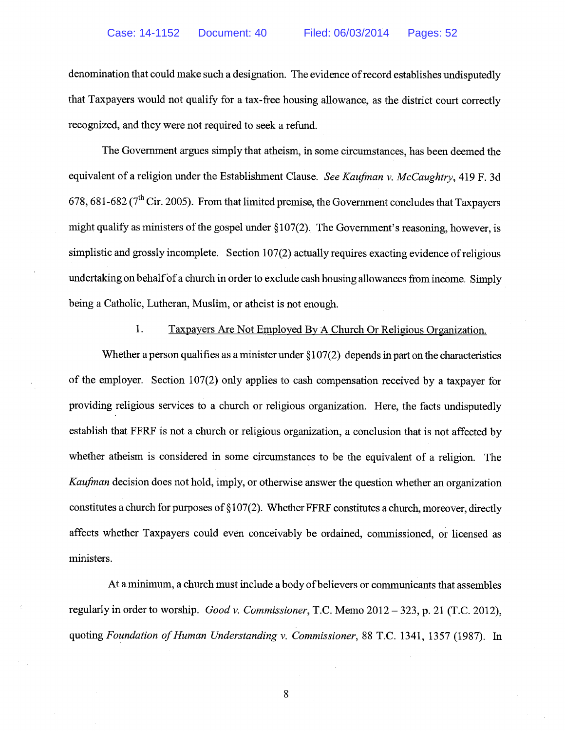denomination that could make such a designation. The evidence of record establishes undisputedly that Taxpayers would not qualify for a tax-free housing allowance, as the district court correctly recognized, and they were not required to seek a refund.

The Government argues simply that atheism, in some circumstances, has been deemed the equivalent of a religion under the Establishment Clause. See Kaufman v. McCaughtry, 419 F. 3d 678, 681-682 ( $7<sup>th</sup>$  Cir. 2005). From that limited premise, the Government concludes that Taxpayers might qualify as ministers of the gospel under  $\S107(2)$ . The Government's reasoning, however, is simplistic and grossly incomplete. Section 107(2) actually requires exacting evidence of religious undertaking on behalf of a church in order to exclude cash housing allowances from income. Simply being a Catholic, Lutheran, Muslim, or atheist is not enough.

1. Taxpayers Are Not Employed By A Church Or Religious Organization.

Whether a person qualifies as a minister under  $\S107(2)$  depends in part on the characteristics of the employer. Section 107(2) only applies to cash compensation received by a taxpayer for providing religious services to a church or religious organization. Here, the facts undisputedly establish that FFRF is not a church or religious organization, a conclusion that is not affected by whether atheism is considered in some circumstances to be the equivalent of a religion. The Kaufman decision does not hold, imply, or otherwise answer the question whether an organization constitutes a church for purposes of § 107(2). Whether FFRF constitutes a church, moreover, directly affects whether Taxpayers could even conceivably be ordained, commissioned, or licensed as ministers.

At a minimum, a church must include a body of believers or communicants that assembles regularly in order to worship. Good v. Commissioner, T.C. Memo 2012 — 323, p. <sup>21</sup> (T.C. 2012), quoting Foundation of Human Understanding v. Commissioner, 88 T.C. 1341, 1357 (1987). In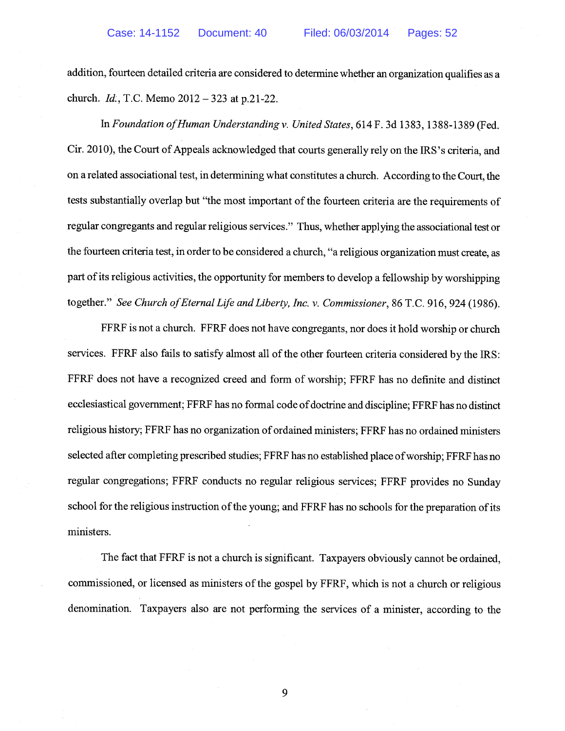addition, fourteen detailed criteria are considered to determine whether an organization qualifies as a church. Id, T.C. Memo 2012 — 323 at p.21-22.

In Foundation ofHuman Understanding v. United States, 614 F. 3d 1383, 1388-1389 (Fed. Cir. 2010), the Court of Appeals acknowledged that courts generally rely on the IRS's criteria, and on a related associational test, in determining what constitutes a church. According to the Court, the tests substantially overlap but "the most important of the fourteen criteria are the requirements of regular congregants and regular religious services." Thus, whether applying the associational test or the fourteen criteria test, in order to be considered a church, "a religious organization must create, as part of its religious activities, the opportunity for members to develop a fellowship by worshipping together." See Church of Eternal Life and Liberty, Inc. v. Commissioner, 86 T.C. 916, 924 (1986).

FFRF is not a church. FFRF does not have congregants, nor does it hold worship or church services. FFRF also fails to satisfy almost all of the other fourteen criteria considered by the IRS: FFRF does not have a recognized creed and form of worship; FFRF has no definite and distinct ecclesiastical government; FFRF has no formal code of doctrine and discipline; FFRF has no distinct religious history; FFRF has no organization of ordained ministers; FFRF has no ordained ministers selected after completing prescribed studies; FFRF has no established place of worship; FFRF has no regular congregations; FFRF conducts no regular religious services; FFRF provides no Sunday school for the religious instruction of the young; and FFRF has no schools for the preparation of its ministers.

The fact that FFRF is not a church is significant. Taxpayers obviously cannot be ordained, commissioned, or licensed as ministers of the gospel by FFRF, which is not a church or religious denomination. Taxpayers also are not performing the services of a minister, according to the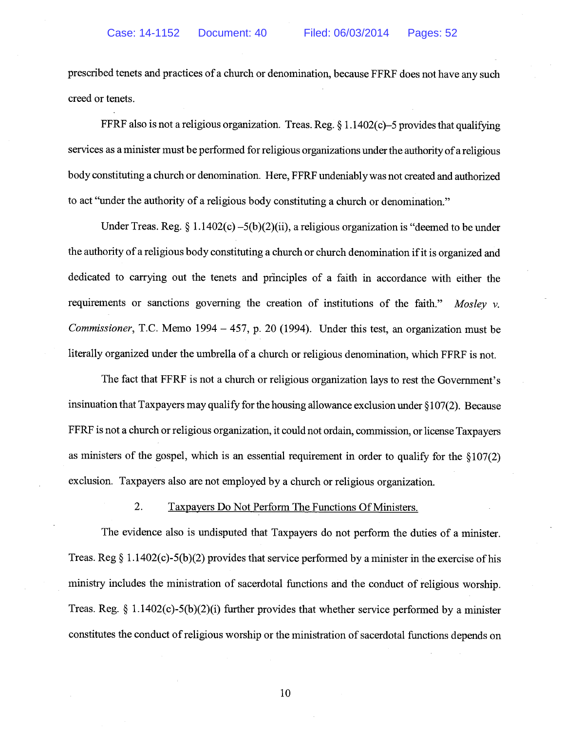prescribed tenets and practices of a church or denomination, because FFRF does not have any such creed or tenets.

FFRF also is not a religious organization. Treas. Reg. § 1.1402(c)–5 provides that qualifying services as a minister must be performed for religious organizations under the authority of a religious body constituting a church or denomination. Here, FFRF undeniably was not created and authorized to act "under the authority of a religious body constituting a church or denomination."

Under Treas. Reg. § 1.1402(c) –5(b)(2)(ii), a religious organization is "deemed to be under the authority of a religious body constituting a church or church denomination ifit is organized and dedicated to carrying out the tenets and principles of a faith in accordance with either the requirements or sanctions governing the creation of institutions of the faith." Mosley  $\nu$ . Commissioner, T.C. Memo 1994 — 457, p. 20 (1994). Under this test, an organization must be literally organized under the umbrella of a church or religious denomination, which FFRF is not.

The fact that FFRF is not a church or religious organization lays to rest the Government's insinuation that Taxpayers may qualify for the housing allowance exclusion under § 107(2). Because FFRF is not a church or religious organization, it could not ordain, commission, or license Taxpayers as ministers of the gospel, which is an essential requirement in order to qualify for the § 107(2) exclusion. Taxpayers also are not employed by a church or religious organization.

## 2. Taxpayers Do Not Perform The Functions Of Ministers.

The evidence also is undisputed that Taxpayers do not perform the duties of a minister. Treas. Reg  $\S 1.1402(c) - 5(b)(2)$  provides that service performed by a minister in the exercise of his ministry includes the ministration of sacerdotal functions and the conduct of religious worship. Treas. Reg.  $\S 1.1402(c) - 5(b)(2)(i)$  further provides that whether service performed by a minister constitutes the conduct of religious worship or the ministration of sacerdotal functions depends on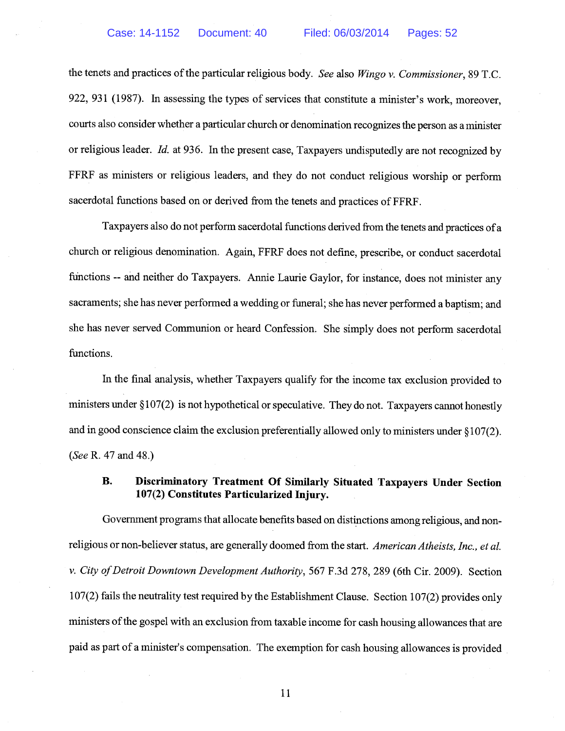the tenets and practices of the particular religious body. See also Wingo v. Commissioner, 89 T.C. 922, 931 (1987). In assessing the types of services that constitute a minister's work, moreover, courts also consider whether a particular church or denomination recognizes the person as a minister or religious leader. Id. at 936. In the present case, Taxpayers undisputedly are not recognized by FFRF as ministers or religious leaders, and they do not conduct religious worship or perform sacerdotal functions based on or derived from the tenets and practices of FFRF.

Taxpayers also do not perform sacerdotal functions derived from the tenets and practices ofa church or religious denomination. Again, FFRF does not define, prescribe, or conduct sacerdotal functions -- and neither do Taxpayers. Annie Laurie Gaylor, for instance, does not minister any sacraments; she has never performed a wedding or funeral; she has never performed a baptism; and she has never served Communion or heard Confession. She simply does not perform sacerdotal functions.

In the final analysis, whether Taxpayers qualify for the income tax exclusion provided to ministers under § 107(2) is not hypothetical or speculative. They do not. Taxpayers cannot honestly and in good conscience claim the exclusion preferentially allowed only to ministers under § 107(2). (See R. 47 and 48.)

## B. Discriminatory Treatment Of Similarly Situated Taxpayers Under Section 107(2) Constitutes Particularized Injury.

Government programs that allocate benefits based on distinctions among religious, and non religious or non-believer status, are generally doomed from the start. American Atheists, Inc., et al. v. City of Detroit Downtown Development Authority, 567 F.3d 278, 289 (6th Cir. 2009). Section 107(2) fails the neutrality test required by the Establishment Clause. Section 107(2) provides only ministers of the gospel with an exclusion from taxable income for cash housing allowances that are paid as part of a minister's compensation. The exemption for cash housing allowances is provided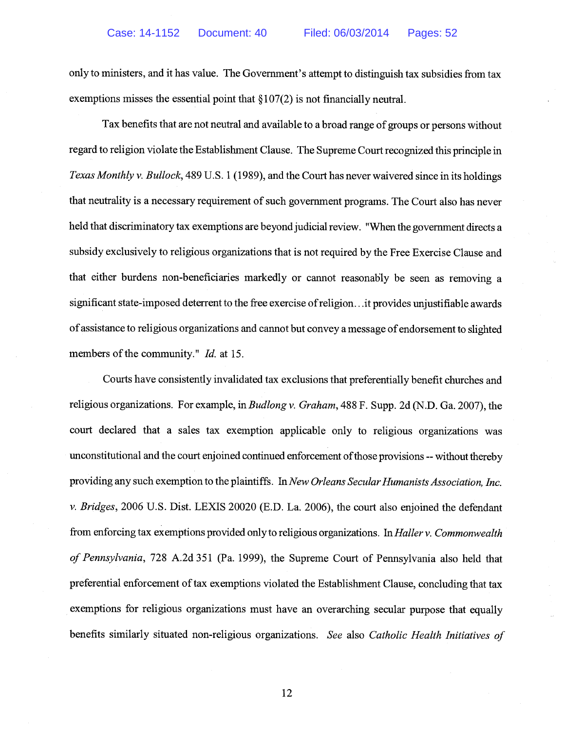only to ministers, and it has value. The Government's attempt to distinguish tax subsidies from tax exemptions misses the essential point that § 107(2) is not financially neutral.

Tax benefits that are not neutral and available to a broad range of groups or persons without regard to religion violate the Establishment Clause. The Supreme Court recognized this principle in Texas Monthly v. Bullock, 489 U.S. 1 (1989), and the Court has never waivered since in its holdings that neutrality is a necessary requirement of such government programs. The Court also has never held that discriminatory tax exemptions are beyond judicial review. "When the government directs a subsidy exclusively to religious organizations that is not required by the Free Exercise Clause and that either burdens non-beneficiaries markedly or cannot reasonably be seen as removing a significant state-imposed deterrent to the free exercise ofreligion. . .it provides unjustifiable awards of assistance to religious organizations and cannot but convey a message of endorsement to slighted members of the community." *Id.* at 15.

Courts have consistently invalidated tax exclusions that preferentially benefit churches and religious organizations. For example, in Budlong v. Graham, 488 F. Supp. 2d (N.D. Ga. 2007), the court declared that a sales tax exemption applicable only to religious organizations was unconstitutional and the court enjoined continued enforcement of those provisions -- without thereby providing any such exemption to the plaintiffs. In New Orleans Secular Humanists Association, Inc. v. Bridges, 2006 U.S. Dist. LEXIS 20020 (E.D. La. 2006), the court also enjoined the defendant from enforcing tax exemptions provided only to religious organizations. In Haller v. Commonwealth of Pennsylvania, 728 A.2d 351 (Pa. 1999), the Supreme Court of Pennsylvania also held that preferential enforcement of tax exemptions violated the Establishment Clause, concluding that tax exemptions for religious organizations must have an overarching secular purpose that equally benefits similarly situated non-religious organizations. See also Catholic Health Initiatives of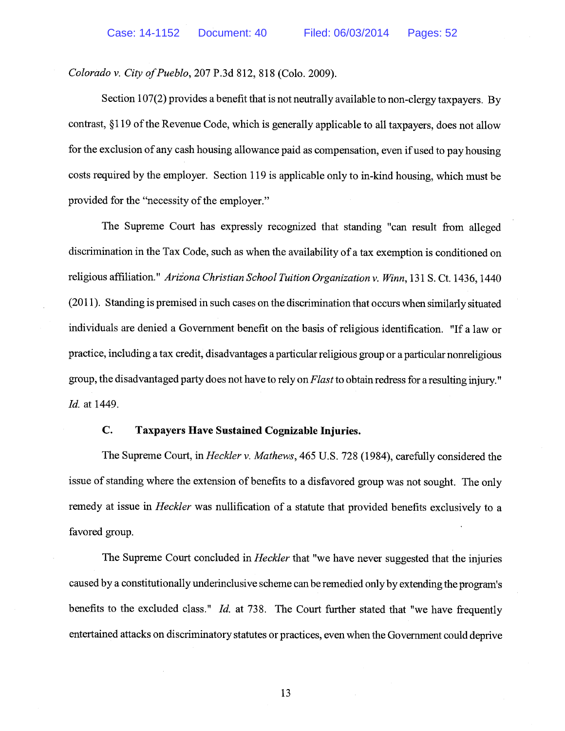Colorado v. City of Pueblo, 207 P.3d 812, 818 (Colo. 2009).

Section 107(2) provides a benefit that is not neutrally available to non-clergy taxpayers. By contrast, §119 of the Revenue Code, which is generally applicable to all taxpayers, does not allow for the exclusion of any cash housing allowance paid as compensation, even if used to pay housing costs required by the employer. Section 119 is applicable only to in-kind housing, which must be provided for the "necessity of the employer."

The Supreme Court has expressly recognized that standing "can result from alleged discrimination in the Tax Code, such as when the availability of a tax exemption is conditioned on religious affiliation." Arizona Christian School Tuition Organization v. Winn, 131 S. Ct. 1436, 1440 (2011). Standing is premised in such cases on the discrimination that occurs when similarly situated individuals are denied a Government benefit on the basis of religious identification. "If a law or practice, including a tax credit, disadvantages a particular religious group or a particular nonreligious group, the disadvantaged party does not have to rely on Flast to obtain redress for a resulting injury." Id. at 1449.

## C. Taxpayers Have Sustained Cognizable Injuries.

The Supreme Court, in *Heckler v. Mathews*, 465 U.S. 728 (1984), carefully considered the issue of standing where the extension of benefits to a disfavored group was not sought. The only remedy at issue in *Heckler* was nullification of a statute that provided benefits exclusively to a favored group.

The Supreme Court concluded in *Heckler* that "we have never suggested that the injuries caused by a constitutionally underinclusive scheme can be remedied only by extending the program's benefits to the excluded class." Id. at 738. The Court further stated that "we have frequently entertained attacks on discriminatory statutes or practices, even when the Government could deprive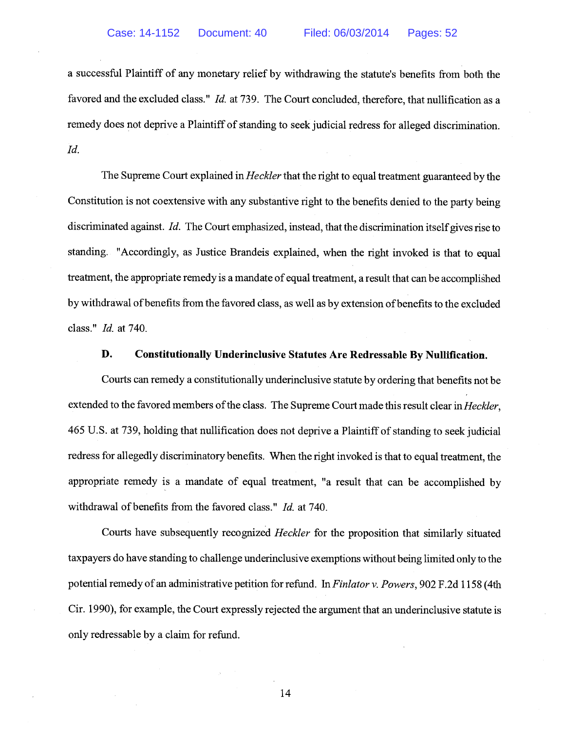a successful Plaintiff of any monetary relief by withdrawing the statute's benefits from both the favored and the excluded class." Id. at 739. The Court concluded, therefore, that nullification as a remedy does not deprive a Plaintiff of standing to seek judicial redress for alleged discrimination. Id.

The Supreme Court explained in *Heckler* that the right to equal treatment guaranteed by the Constitution is not coextensive with any substantive right to the benefits denied to the party being discriminated against. Id. The Court emphasized, instead, that the discrimination itself gives rise to standing. "Accordingly, as Justice Brandeis explained, when the right invoked is that to equal treatment, the appropriate remedy is a mandate of equal treatment, a result that can be accomplished by withdrawal of benefits from the favored class, as well as by extension of benefits to the excluded class." Id. at 740.

#### D. Constitutionally Underinclusive Statutes Are Redressable By Nullification.

Courts can remedy a constitutionally underinclusive statute by ordering that benefits not be extended to the favored members of the class. The Supreme Court made this result clear in *Heckler*, 465 U.S. at 739, holding that nullification does not deprive a Plaintiff of standing to seek judicial redress for allegedly discriminatory benefits. When the right invoked is that to equal treatment, the appropriate remedy is a mandate of equal treatment, "a result that can be accomplished by withdrawal of benefits from the favored class." *Id.* at 740.

Courts have subsequently recognized Heckler for the proposition that similarly situated taxpayers do have standing to challenge underinclusive exemptions without being limited only to the potential remedy of an administrative petition for refund. In Finlator v. Powers, 902 F.2d 1158 (4th Cir. 1990), for example, the Court expressly rejected the argument that an underinclusive statute is only redressable by a claim for refund.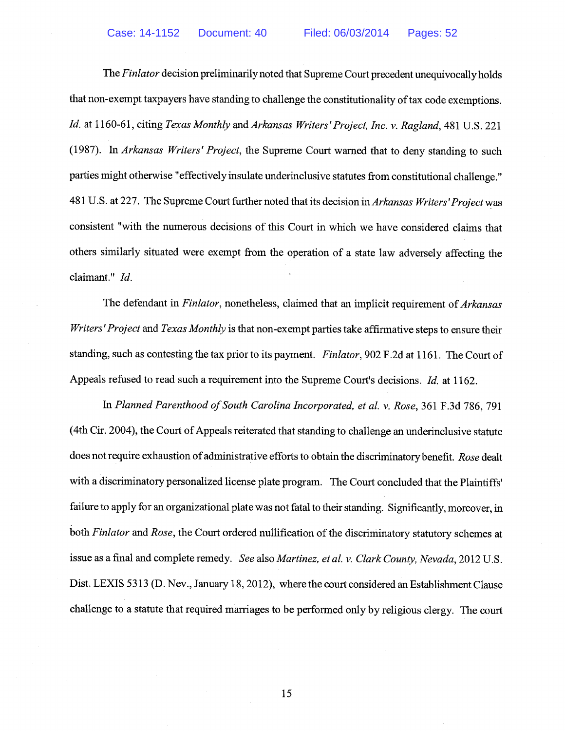The Finlator decision preliminarily noted that Supreme Court precedent unequivocally holds that non-exempt taxpayers have standing to challenge the constitutionality of tax code exemptions. Id. at 1160-61, citing Texas Monthly and Arkansas Writers'Project, Inc. v. Ragland, 481 U.S. 221 (1987). In Arkansas Writers' Project, the Supreme Court warned that to deny standing to such parties might otherwise "effectively insulate underinclusive statutes from constitutional challenge." 481 U.S. at 227. The Supreme Court further noted that its decision in Arkansas Writers' Project was consistent "with the numerous decisions of this Court in which we have considered claims that others similarly situated were exempt from the operation of a state law adversely affecting the claimant." Id.

The defendant in Finlator, nonetheless, claimed that an implicit requirement of Arkansas Writers' Project and Texas Monthly is that non-exempt parties take affirmative steps to ensure their standing, such as contesting the tax prior to its payment. Finlator, 902 F.2d at 1161. The Court of Appeals refused to read such a requirement into the Supreme Court's decisions. Id. at 1162.

In Planned Parenthood of South Carolina Incorporated, et al. v. Rose, 361 F.3d 786, 791 (4th Cir. 2004), the Court of Appeals reiterated that standing to challenge an underinclusive statute does not require exhaustion of administrative efforts to obtain the discriminatory benefit. Rose dealt with a discriminatory personalized license plate program. The Court concluded that the Plaintiffs' failure to apply for an organizational plate was not fatal to their standing. Significantly, moreover, in both Finlator and Rose, the Court ordered nullification of the discriminatory statutory schemes at issue as a final and complete remedy. See also Martinez, et al. v. Clark County, Nevada, 2012 U.S. Dist. LEXIS 5313 (D. Nev., January 18, 2012), where the court considered an Establishment Clause challenge to a statute that required marriages to be performed only by religious clergy. The court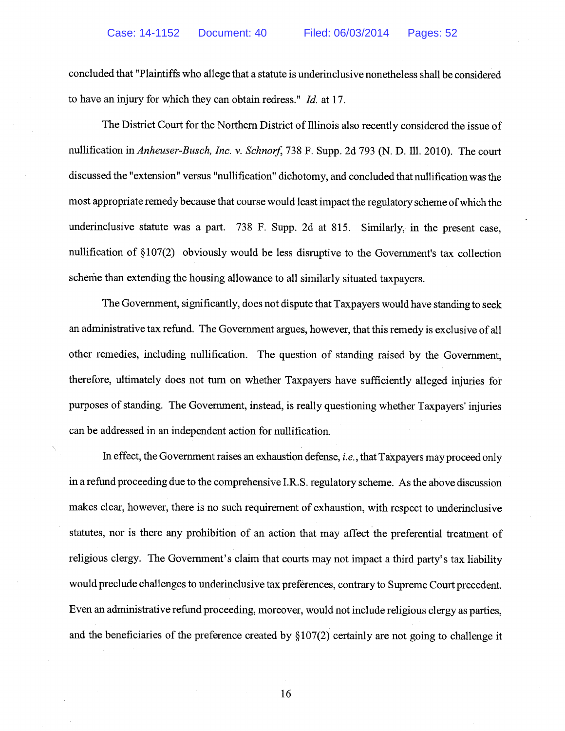concluded that "Plaintiffs who allege that a statute is underinclusive nonetheless shall be considered to have an injury for which they can obtain redress." Id. at 17.

The District Court for the Northern District of Illinois also recently considered the issue of nullification in Anheuser-Busch, Inc. v. Schnorf, 738 F. Supp. 2d 793 (N. D. Ill. 2010). The court discussed the "extension" versus "nullification" dichotomy, and concluded that nullification was the most appropriate remedy because that course would least impact the regulatory scheme ofwhich the underinclusive statute was a part. 738 F. Supp. 2d at 815. Similarly, in the present case, nullification of § 107(2) obviously would be less disruptive to the Government's tax collection scheme than extending the housing allowance to all similarly situated taxpayers.

The Government, significantly, does not dispute that Taxpayers would have standing to seek an administrative tax refund. The Government argues, however, that this remedy is exclusive of all other remedies, including nullification. The question of standing raised by the Government, therefore, ultimately does not turn on whether Taxpayers have sufficiently alleged injuries for purposes of standing. The Government, instead, is really questioning whether Taxpayers' injuries can be addressed in an independent action for nullification.

In effect, the Government raises an exhaustion defense, *i.e.*, that Taxpayers may proceed only in a refund proceeding due to the comprehensive I.R.S. regulatory scheme. As the above discussion makes clear, however, there is no such requirement of exhaustion, with respect to underinclusive statutes, nor is there any prohibition of an action that may affect the preferential treatment of religious clergy. The Government's claim that courts may not impact a third party's tax liability would preclude challenges to underinclusive tax preferences, contrary to Supreme Court precedent. Even an administrative refund proceeding, moreover, would not include religious clergy as parties, and the beneficiaries of the preference created by § 107(2) certainly are not going to challenge it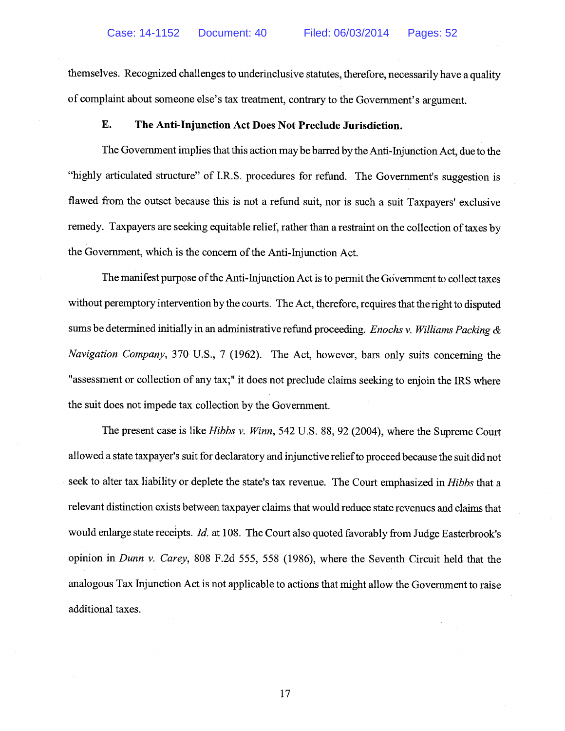themselves. Recognized challenges to underinclusive statutes, therefore, necessarily have a quality of complaint about someone else's tax treatment, contrary to the Government's argument.

## E. The Anti-Injunction Act Does Not Preclude Jurisdiction.

The Government implies that this action maybe barred by the Anti-Injunction Act, due to the "highly articulated structure" of I.R.S. procedures for refund. The Government's suggestion is flawed from the outset because this is not a refund suit, nor is such a suit Taxpayers' exclusive remedy. Taxpayers are seeking equitable relief, rather than a restraint on the collection of taxes by the Government, which is the concern of the Anti-Injunction Act.

The manifest purpose of the Anti-Injunction Act is to permit the Government to collect taxes without peremptory intervention by the courts. The Act, therefore, requires that the right to disputed sums be determined initially in an administrative refund proceeding. *Enochs v. Williams Packing*  $\&$ Navigation Company, 370 U.S., <sup>7</sup> (1962). The Act, however, bars only suits concerning the "assessment or collection of any tax;" it does not preclude claims seeking to enjoin the IRS where the suit does not impede tax collection by the Government.

The present case is like *Hibbs v. Winn*, 542 U.S. 88, 92 (2004), where the Supreme Court allowed a state taxpayer's suit for declaratory and injunctive reliefto proceed because the suit did not seek to alter tax liability or deplete the state's tax revenue. The Court emphasized in Hibbs that a relevant distinction exists between taxpayer claims that would reduce state revenues and claims that would enlarge state receipts. Id. at 108. The Court also quoted favorably from Judge Easterbrook's opinion in Dunn v. Carey, 808 F.2d 555, 558 (1986), where the Seventh Circuit held that the analogous Tax Injunction Act is not applicable to actions that might allow the Government to raise additional taxes.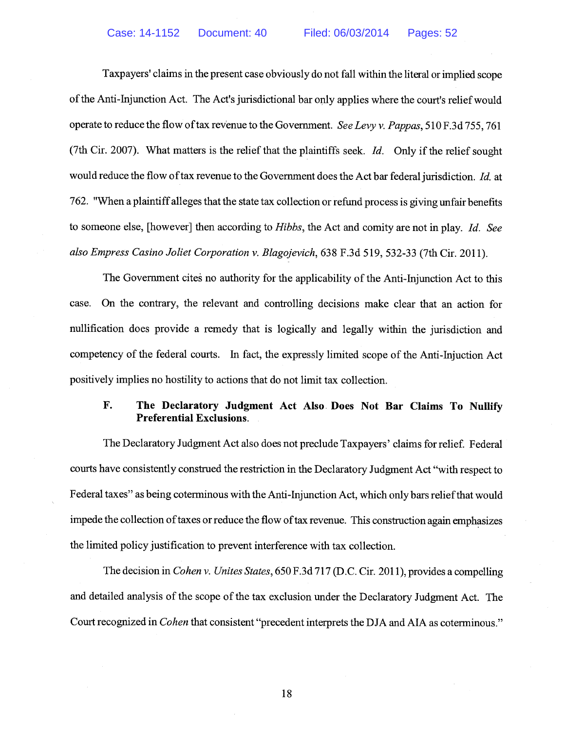Taxpayers' claims in the present case obviously do not fall within the literal or implied scope of the Anti-Injunction Act. The Act's jurisdictional bar only applies where the court's relief would operate to reduce the flow of tax revenue to the Government. See Levy v. Pappas, 510 F.3d 755, 761 (7th Cir. 2007). What matters is the relief that the plaintiffs seek. *Id.* Only if the relief sought would reduce the flow of tax revenue to the Government does the Act bar federal jurisdiction. Id. at 762. "When a plaintiff alleges that the state tax collection or refund process is giving unfair benefits to someone else, [however] then according to Hibbs, the Act and comity are not in play. Id. See also Empress Casino Joliet Corporation v. Blagojevich, 638 F.3d 519, 532-33 (7th Cir. 2011).

The Government cites no authority for the applicability of the Anti-Injunction Act to this case. On the contrary, the relevant and controlling decisions make clear that an action for nullification does provide a remedy that is logically and legally within the jurisdiction and competency of the federal courts. In fact, the expressly limited scope of the Anti-Injuction Act positively implies no hostility to actions that do not limit tax collection.

## F. The Declaratory Judgment Act Also Does Not Bar Claims To Nullify Preferential Exclusions.

The Declaratory Judgment Act also does not preclude Taxpayers' claims for relief. Federal courts have consistently construed the restriction in the Declaratory Judgment Act "with respect to Federal taxes" as being coterminous with the Anti-Injunction Act, which only bars relief that would impede the collection of taxes or reduce the flow of tax revenue. This construction again emphasizes the limited policy justification to prevent interference with tax collection.

The decision in Cohen v. Unites States, 650 F.3d 717 (D.C. Cir. 2011), provides a compelling and detailed analysis of the scope of the tax exclusion under the Declaratory Judgment Act. The Court recognized in Cohen that consistent "precedent interprets the DJA and AlA as coterminous."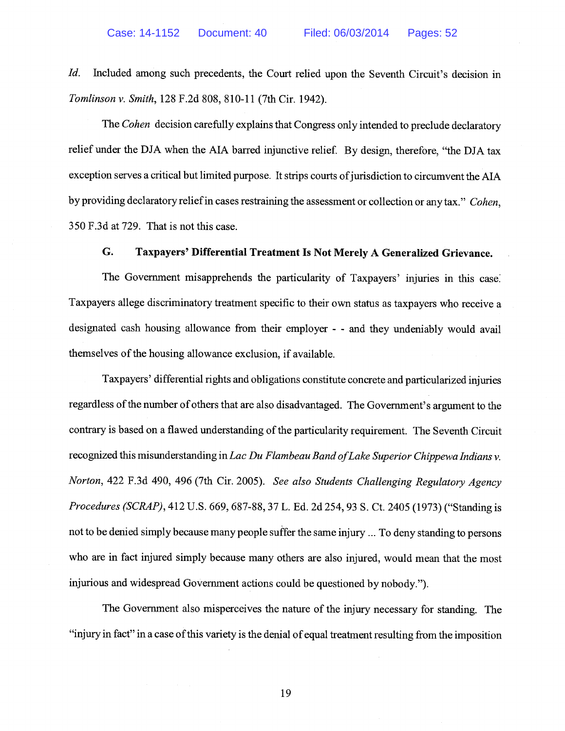Id. Included among such precedents, the Court relied upon the Seventh Circuit's decision in Tomlinson v. Smith, 128 F.2d 808, 810-11 (7th Cir. 1942).

The Cohen decision carefully explains that Congress only intended to preclude declaratory relief under the DJA when the AlA barred injunctive relief. By design, therefore, "the DJA tax exception serves a critical but limited purpose. It strips courts of jurisdiction to circumvent the AIA by providing declaratory relief in cases restraining the assessment or collection or any tax." Cohen, 350 F.3d at 729. That is not this case.

#### G. Taxpayers' Differential Treatment Is Not Merely A Generalized Grievance.

The Government misapprehends the particularity of Taxpayers' injuries in this case Taxpayers allege discriminatory treatment specific to their own status as taxpayers who receive a designated cash housing allowance from their employer - - and they undeniably would avail themselves of the housing allowance exclusion, if available.

Taxpayers' differential rights and obligations constitute concrete and particularized injuries regardless of the number of others that are also disadvantaged. The Government's argument to the contrary is based on a flawed understanding of the particularity requirement. The Seventh Circuit recognized this misunderstanding in Lac Du Flambeau Band of Lake Superior Chippewa Indians v. Norton, 422 F.3d 490, 496 (7th Cir. 2005). See also Students Challenging Regulatory Agency Procedures (SCRAP), 412 U.S. 669, 687-88, 37 L. Ed. 2d 254, 93 S. Ct. 2405 (1973) ("Standing is not to be denied simply because many people suffer the same injury ... To deny standing to persons who are in fact injured simply because many others are also injured, would mean that the most injurious and widespread Government actions could be questioned by nobody.").

The Government also misperceives the nature of the injury necessary for standing. The "injury in fact" in a case ofthis variety is the denial of equal treatment resulting from the imposition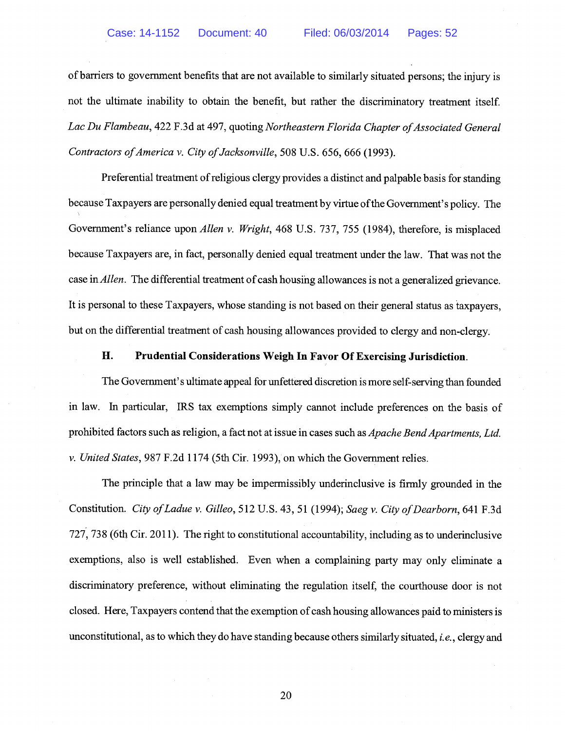of barriers to government benefits that are not available to similarly situated persons; the injury is not the ultimate inability to obtain the benefit, but rather the discriminatory treatment itself. Lac Du Flambeau, 422 F.3d at 497, quoting Northeastern Florida Chapter of Associated General Contractors of America v. City of Jacksonville, 508 U.S. 656, 666 (1993).

Preferential treatment of religious clergy provides a distinct and palpable basis for standing because Taxpayers are personally denied equal treatment by virtue ofthe Government's policy. The Government's reliance upon Allen v. Wright, 468 U.S. 737, 755 (1984), therefore, is misplaced because Taxpayers are, in fact, personally denied equal treatment under the law. That was not the case in *Allen*. The differential treatment of cash housing allowances is not a generalized grievance. It is personal to these Taxpayers, whose standing is not based on their general status as taxpayers, but on the differential treatment of cash housing allowances provided to clergy and non-clergy.

## H. Prudential Considerations Weigh In Favor Of Exercising Jurisdiction.

The Government's ultimate appeal for unfettered discretion is more self-serving than founded in law. In particular, IRS tax exemptions simply cannot include preferences on the basis of prohibited factors such as religion, a fact not at issue in cases such as Apache Bend Apartments, Ltd. v. United States, 987 F.2d 1174 (5th Cir. 1993), on which the Government relies.

The principle that a law may be impermissibly underinclusive is firmly grounded in the Constitution. City of Ladue v. Gilleo, 512 U.S. 43, 51 (1994); Saeg v. City of Dearborn, 641 F.3d 727, 738 (6th Cir. 2011). The right to constitutional accountability, including as to underinclusive exemptions, also is well established. Even when a complaining party may only eliminate a discriminatory preference, without eliminating the regulation itself, the courthouse door is not closed. Here, Taxpayers contend that the exemption of cash housing allowances paid to ministers is unconstitutional, as to which they do have standing because others similarly situated, i.e., clergy and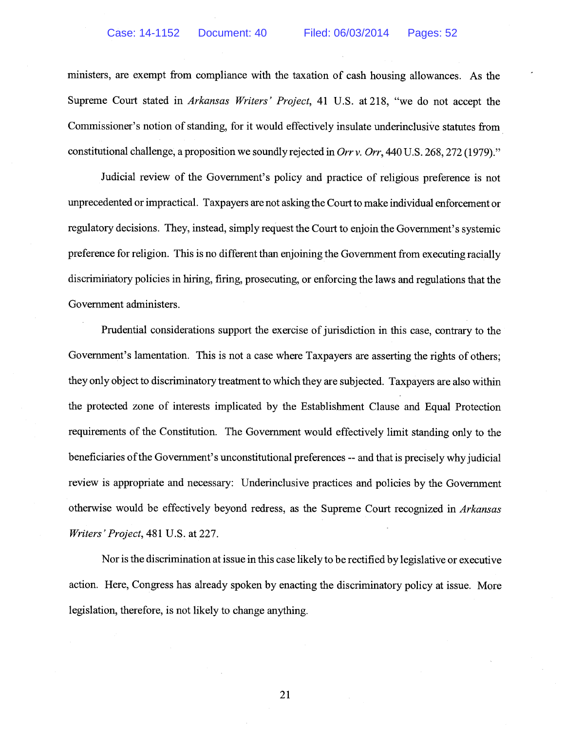ministers, are exempt from compliance with the taxation of cash housing allowances. As the Supreme Court stated in *Arkansas Writers' Project*, 41 U.S. at 218, "we do not accept the Commissioner's notion of standing, for it would effectively insulate underinclusive statutes from constitutional challenge, a proposition we soundly rejected in Orr v. Orr, 440 U.S. 268, 272 (1979)."

Judicial review of the Government's policy and practice of religious preference is not unprecedented or impractical. Taxpayers are not asking the Court to make individual enforcement or regulatory decisions. They, instead, simply request the Court to enjoin the Government's systemic preference for religion. This is no different than enjoining the Government from executing racially discriminatory policies in hiring, firing, prosecuting, or enforcing the laws and regulations that the Government administers.

Prudential considerations support the exercise of jurisdiction in this case, contrary to the Government's lamentation. This is not a case where Taxpayers are asserting the rights of others; they only object to discriminatory treatment to which they are subjected. Taxpayers are also within the protected zone of interests implicated by the Establishment Clause and Equal Protection requirements of the Constitution. The Government would effectively limit standing only to the beneficiaries of the Government's unconstitutional preferences -- and that is precisely why judicial review is appropriate and necessary: Underinclusive practices and policies by the Government otherwise would be effectively beyond redress, as the Supreme Court recognized in Arkansas Writers'Project, 481 U.S. at 227.

Nor is the discrimination at issue in this case likely to be rectified by legislative or executive action. Here, Congress has already spoken by enacting the discriminatory policy at issue. More legislation, therefore, is not likely to change anything.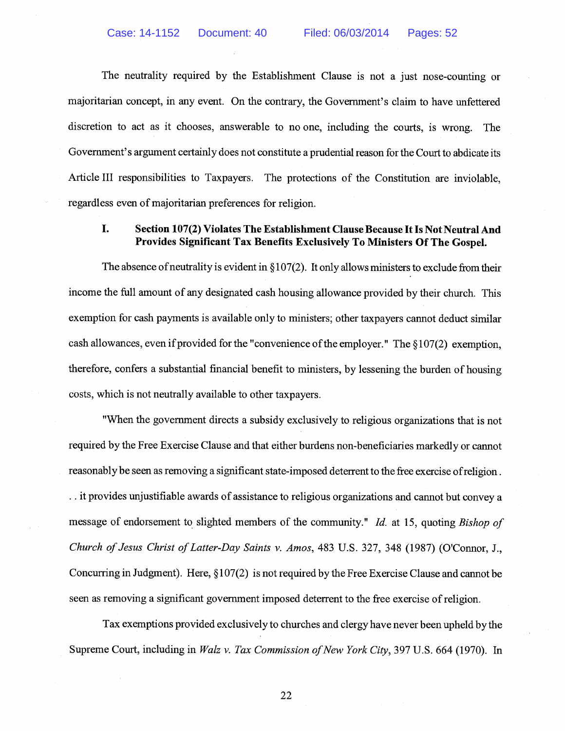The neutrality required by the Establishment Clause is not a just nose-counting or majoritarian concept, in any event. On the contrary, the Government's claim to have unfettered discretion to act as it chooses, answerable to no one, including the courts, is wrong. The Government's argument certainly does not constitute a prudential reason for the Court to abdicate its Article III responsibilities to Taxpayers. The protections of the Constitution are inviolable, regardless even of majoritarian preferences for religion.

## I. Section 107(2) Violates The Establishment Clause Because It Is Not Neutral And Provides Significant Tax Benefits Exclusively To Ministers Of The Gospel.

The absence of neutrality is evident in  $\S 107(2)$ . It only allows ministers to exclude from their income the full amount of any designated cash housing allowance provided by their church. This exemption for cash payments is available only to ministers; other taxpayers cannot deduct similar cash allowances, even if provided for the "convenience of the employer." The  $§107(2)$  exemption, therefore, confers a substantial financial benefit to ministers, by lessening the burden of housing costs, which is not neutrally available to other taxpayers.

"When the government directs a subsidy exclusively to religious organizations that is not required by the Free Exercise Clause and that either burdens non-beneficiaries markedly or cannot reasonably be seen as removing a significant state-imposed deterrent to the free exercise ofreligion . .. it provides unjustifiable awards of assistance to religious organizations and cannot but convey a message of endorsement to slighted members of the community." Id. at 15, quoting Bishop of Church of Jesus Christ of Latter-Day Saints v. Amos, 483 U.S. 327, 348 (1987) (O'Connor, J., Concurring in Judgment). Here, § 107(2) is not required by the Free Exercise Clause and cannot be seen as removing a significant government imposed deterrent to the free exercise ofreligion.

Tax exemptions provided exclusively to churches and clergy have never been upheld by the Supreme Court, including in Walz v. Tax Commission of New York City, 397 U.S. 664 (1970). In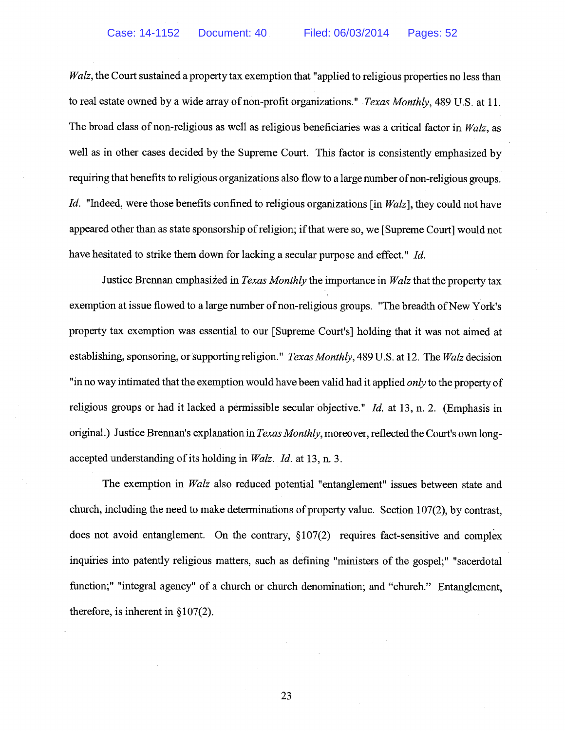Walz, the Court sustained a property tax exemption that "applied to religious properties no less than to real estate owned by a wide array of non-profit organizations." Texas Monthly, 489 U.S. at 11. The broad class of non-religious as well as religious beneficiaries was a critical factor in Walz, as well as in other cases decided by the Supreme Court. This factor is consistently emphasized by requiring that benefits to religious organizations also flow to a large number of non-religious groups. Id. "Indeed, were those benefits confined to religious organizations [in Walz], they could not have appeared other than as state sponsorship ofreligion; ifthat were so, we [Supreme Court] would not have hesitated to strike them down for lacking a secular purpose and effect." Id.

Justice Brennan emphasized in *Texas Monthly* the importance in Walz that the property tax exemption at issue flowed to a large number of non-religious groups. "The breadth of New York's property tax exemption was essential to our [Supreme Court's] holding that it was not aimed at establishing, sponsoring, or supporting religion." Texas Monthly, 489 U.S. at 12. The Walz decision "in no way intimated that the exemption would have been valid had it applied *only* to the property of religious groups or had it lacked a permissible secular objective." Id. at 13, n. 2. (Emphasis in original.) Justice Brennan's explanation in *Texas Monthly*, moreover, reflected the Court's own longaccepted understanding of its holding in *Walz. Id.* at 13, n. 3.

The exemption in Walz also reduced potential "entanglement" issues between state and church, including the need to make determinations of property value. Section 107(2), by contrast, does not avoid entanglement. On the contrary, §107(2) requires fact-sensitive and complex inquiries into patently religious matters, such as defining "ministers of the gospel;" "sacerdotal function;" "integral agency" of a church or church denomination; and "church." Entanglement, therefore, is inherent in  $\S 107(2)$ .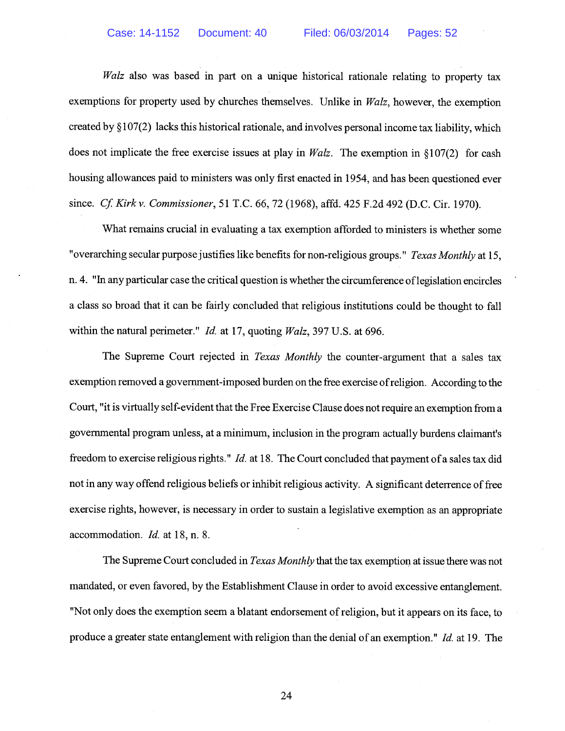Walz also was based in part on a unique historical rationale relating to property tax exemptions for property used by churches themselves. Unlike in Walz, however, the exemption created by § 107(2) lacks this historical rationale, and involves personal income tax liability, which does not implicate the free exercise issues at play in  $Walz$ . The exemption in §107(2) for cash housing allowances paid to ministers was only first enacted in 1954, and has been questioned ever since. *Cf. Kirk v. Commissioner*, 51 T.C. 66, 72 (1968), affd. 425 F.2d 492 (D.C. Cir. 1970).

What remains crucial in evaluating a tax exemption afforded to ministers is whether some "overarching secular purpose justifies like benefits for non-religious groups." Texas Monthly at 15, n. 4. "In any particular case the critical question is whether the circumference oflegislation encircles a class so broad that it can be fairly concluded that religious institutions could be thought to fall within the natural perimeter." *Id.* at 17, quoting *Walz*, 397 U.S. at 696.

The Supreme Court rejected in *Texas Monthly* the counter-argument that a sales tax exemption removed a government-imposed burden on the free exercise ofreligion. According to the Court, "it is virtually self-evident that the Free Exercise Clause does not require an exemption from a governmental program unless, at a minimum, inclusion in the program actually burdens claimant's freedom to exercise religious rights." *Id.* at 18. The Court concluded that payment of a sales tax did not in any way offend religious beliefs or inhibit religious activity. A significant deterrence offree exercise rights, however, is necessary in order to sustain a legislative exemption as an appropriate accommodation. Id. at 18, n. 8.

The Supreme Court concluded in *Texas Monthly* that the tax exemption at issue there was not mandated, or even favored, by the Establishment Clause in order to avoid excessive entanglement. "Not only does the exemption seem a blatant endorsement ofreligion, but it appears on its face, to produce a greater state entanglement with religion than the denial of an exemption." Id. at 19. The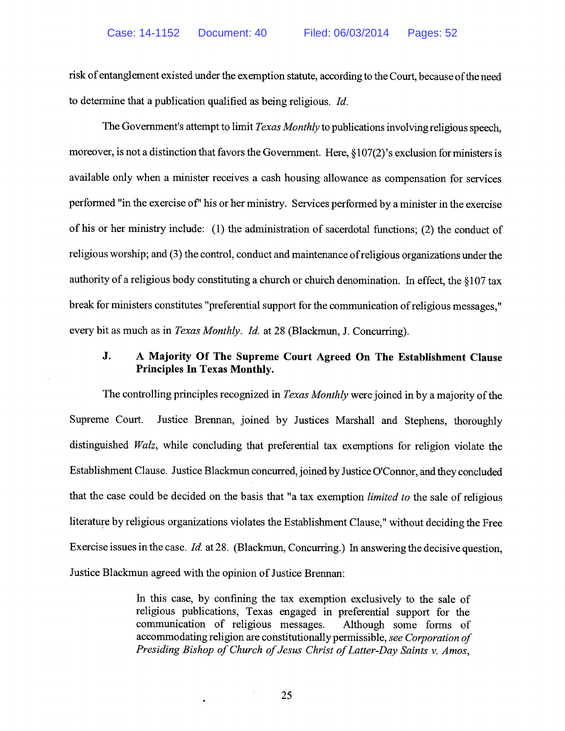risk of entanglement existed under the exemption statute, according to the Court, because ofthe need to determine that a publication qualified as being religious. Id.

The Government's attempt to limit *Texas Monthly* to publications involving religious speech, moreover, is not a distinction that favors the Government. Here, § 107(2)'s exclusion for ministers is available only when a minister receives a cash housing allowance as compensation for services performed "in the exercise of' his or her ministry. Services performed by a minister in the exercise of his or her ministry include: (1) the administration of sacerdotal functions; (2) the conduct of religious worship; and (3) the control, conduct and maintenance ofreligious organizations under the authority of <sup>a</sup> religious body constituting <sup>a</sup> church or chuich denomination. In effect, the § <sup>107</sup> tax break for ministers constitutes "preferential support for the communication ofreligious messages," every bit as much as in Texas Monthly. Id. at 28 (Blackmun, J. Concurring).

## J. A Majority Of The Supreme Court Agreed On The Establishment Clause Principles In Texas Monthly.

The controlling principles recognized in *Texas Monthly* were joined in by a majority of the Supreme Court. Justice Brennan, joined by Justices Marshall and Stephens, thoroughly distinguished *Walz*, while concluding that preferential tax exemptions for religion violate the Establishment Clause. Justice Blackmun concurred, joined by Justice O'Connor, and they concluded that the case could be decided on the basis that "a tax exemption limited to the sale of religious literature by religious organizations violates the Establishment Clause," without deciding the Free Exercise issues in the case. Id. at 28. (Blackmun, Concurring.) In answering the decisive question, Justice Blackmun agreed with the opinion of Justice Brennan:

> In this case, by confining the tax exemption exclusively to the sale of religious publications, Texas engaged in preferential support for the communication of religious messages. Although some forms of accommodating religion are constitutionally permissible, see Corporation of Presiding Bishop of Church of Jesus Christ of Latter-Day Saints v. Amos,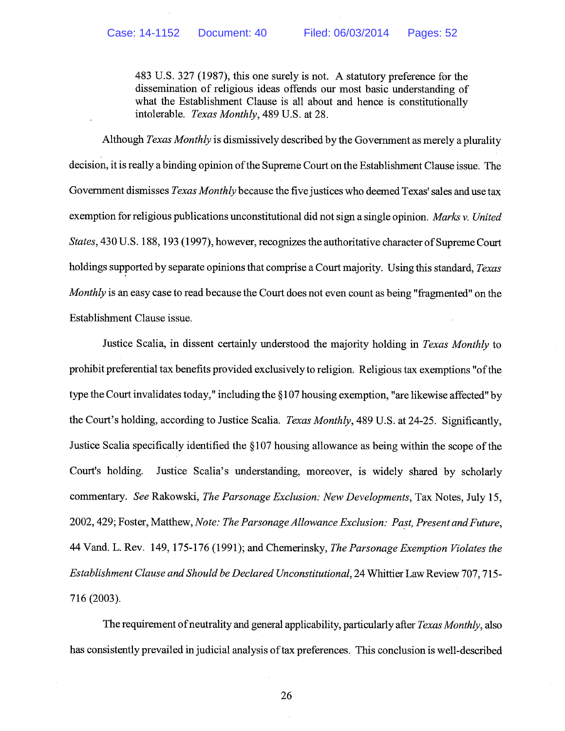483 U.S. 327 (1987), this one surely is not. A statutory preference for the dissemination of religious ideas offends our most basic understanding of what the Establishment Clause is all about and hence is constitutionally intolerable. Texas Monthly, 489 U.S. at 28.

Although Texas Monthly is dismissively described by the Government as merely a plurality decision, it is really a binding opinion of the Supreme Court on the Establishment Clause issue. The Government dismisses *Texas Monthly* because the five justices who deemed Texas' sales and use tax exemption for religious publications unconstitutional did not sign a single opinion. Marks v. United States, 430 U.S. 188, 193 (1997), however, recognizes the authoritative character of Supreme Court holdings supported by separate opinions that comprise a Court majority. Using this standard, Texas Monthly is an easy case to read because the Court does not even count as being "fragmented" on the Establishment Clause issue.

Justice Scalia, in dissent certainly understood the majority holding in Texas Monthly to prohibit preferential tax benefits provided exclusively to religion. Religious tax exemptions "ofthe type the Court invalidates today," including the § 107 housing exemption, "are likewise affected" by the Court's holding, according to Justice Scalia. Texas Monthly, 489 U.S. at 24-25. Significantly, Justice Scalia specifically identified the § 107 housing allowance as being within the scope of the Court's holding. Justice Scalia's understanding, moreover, is widely shared by scholarly commentary. See Rakowski, The Parsonage Exclusion: New Developments, Tax Notes, July 15, 2002, 429; Foster, Matthew, Note: The Parsonage Allowance Exclusion: Past, Present and Future, 44 Vand. L. Rev. 149, 175-176 (1991); and Chemerinsky, The Parsonage Exemption Violates the Establishment Clause and Should be Declared Unconstitutional, 24 Whittier Law Review 707, 715- 716 (2003).

The requirement of neutrality and general applicability, particularly after Texas Monthly, also has consistently prevailed in judicial analysis of tax preferences. This conclusion is well-described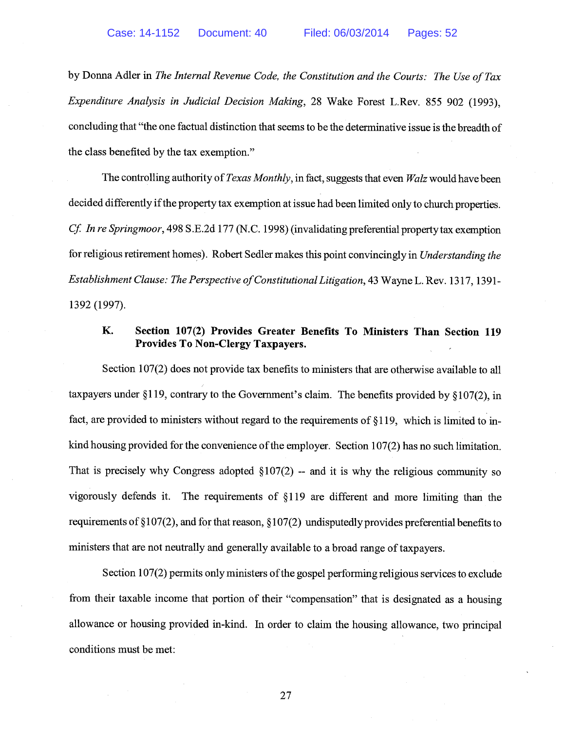by Donna Adler in The Internal Revenue Code, the Constitution and the Courts: The Use of Tax Expenditure Analysis in Judicial Decision Making, 28 Wake Forest L.Rev. 855 902 (1993), concluding that "the one factual distinction that seems to be the determinative issue is the breadth of the class benefited by the tax exemption."

The controlling authority of Texas Monthly, in fact, suggests that even Walz would have been decided differently if the property tax exemption at issue had been limited only to church properties. Cf. In re Springmoor, 498 S.E.2d 177 (N.C. 1998) (invalidating preferential property tax exemption for religious retirement homes). Robert Sedler makes this point convincingly in Understanding the Establishment Clause: The Perspective of Constitutional Litigation, 43 Wayne L. Rev. 1317, 1391-1392 (1997).

## K. Section 107(2) Provides Greater Benefits To Ministers Than Section 119 Provides To Non-Clergy Taxpayers.

Section 107(2) does not provide tax benefits to ministers that are otherwise available to all taxpayers under §119, contrary to the Government's claim. The benefits provided by § 107(2), in fact, are provided to ministers without regard to the requirements of §119, which is limited to inkind housing provided for the convenience of the employer. Section  $107(2)$  has no such limitation. That is precisely why Congress adopted  $\S107(2)$  -- and it is why the religious community so vigorously defends it. The requirements of § 119 are different and more limiting than the requirements of § 107(2), and for that reason, § 107(2) undisputedly provides preferential benefits to ministers that are not neutrally and generally available to a broad range of taxpayers.

Section 107(2) permits only ministers of the gospel performing religious services to exclude from their taxable income that portion of their "compensation" that is designated as a housing allowance or housing provided in-kind. In order to claim the housing allowance, two principal conditions must be met: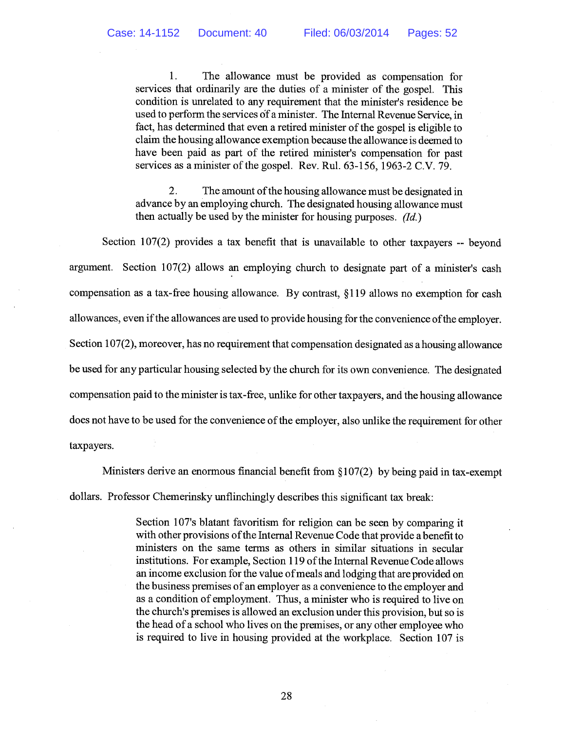1. The allowance must be provided as compensation for services that ordinarily are the duties of a minister of the gospel. This condition is unrelated to any requirement that the minister's residence be used to perform the services of a minister. The Internal Revenue Service, in fact, has determined that even a retired minister of the gospel is eligible to claim the housing allowance exemption because the allowance is deemed to have been paid as part of the retired minister's compensation for past services as a minister of the gospel. Rev. Rul. 63-156, 1963-2 C.V. 79.

2. The amount of the housing allowance must be designated in advance by an employing church. The designated housing allowance must then actually be used by the minister for housing purposes.  $(d_d)$ 

Section 107(2) provides a tax benefit that is unavailable to other taxpayers -- beyond argument. Section 107(2) allows an employing church to designate part of a minister's cash compensation as a tax-free housing allowance. By contrast, § 119 allows no exemption for cash allowances, even if the allowances are used to provide housing for the convenience of the employer. Section 107(2), moreover, has no requirement that compensation designated as a housing allowance be used for any particular housing selected by the church for its own convenience. The designated compensation paid to the minister is tax-free, unlike for other taxpayers, and the housing allowance does not have to be used for the convenience of the employer, also unlike the requirement for other taxpayers.

Ministers derive an enormous financial benefit from § 107(2) by being paid in tax-exempt dollars. Professor Chemerinsky unflinchingly describes this significant tax break:

> Section 107's blatant favoritism for religion can be seen by comparing it with other provisions ofthe Internal Revenue Code that provide a benefit to ministers on the same terms as others in similar situations in secular institutions. For example, Section 119 ofthe Internal Revenue Code allows an income exclusion for the value ofmeals and lodging that are provided on the business premises of an employer as a convenience to the employer and as a condition of employment. Thus, a minister who is required to live on the church's premises is allowed an exclusion under this provision, but so is the head of a school who lives on the premises, or any other employee who is required to live in housing provided at the workplace. Section 107 is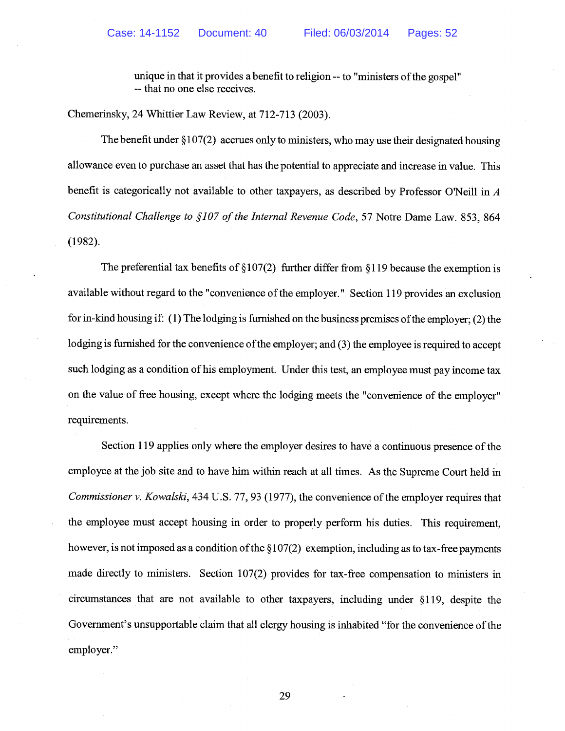unique in that it provides a benefit to religion -- to "ministers of the gospel" -- that no one else receives.

Chemerinsky, 24 Whittier Law Review, at 712-713 (2003).

The benefit under § 107(2) accrues only to ministers, who may use their designated housing allowance even to purchase an asset that has the potential to appreciate and increase in value. This benefit is categorically not available to other taxpayers, as described by Professor O'Neill in  $A$ Constitutional Challenge to §107 of the Internal Revenue Code, 57 Notre Dame Law. 853, 864 (1982).

The preferential tax benefits of  $\S107(2)$  further differ from  $\S119$  because the exemption is available without regard to the "convenience of the employer." Section 119 provides an exclusion for in-kind housing if: (1) The lodging is furnished on the business premises ofthe employer; (2) the lodging is furnished for the convenience of the employer; and (3) the employee is required to accept such lodging as a condition of his employment. Under this test, an employee must pay income tax on the value of free housing, except where the lodging meets the "convenience of the employer" requirements.

Section 119 applies only where the employer desires to have a continuous presence of the employee at the job site and to have him within reach at all times. As the Supreme Court held in Commissioner v. Kowalski, 434 U.S. 77, 93 (1977), the convenience of the employer requires that the employee must accept housing in order to properly perform his duties. This requirement, however, is not imposed as a condition of the  $\S107(2)$  exemption, including as to tax-free payments made directly to ministers. Section 107(2) provides for tax-free compensation to ministers in circumstances that are not available to other taxpayers, including under § 119, despite the Government's unsupportable claim that all clergy housing is inhabited "for the convenience of the employer."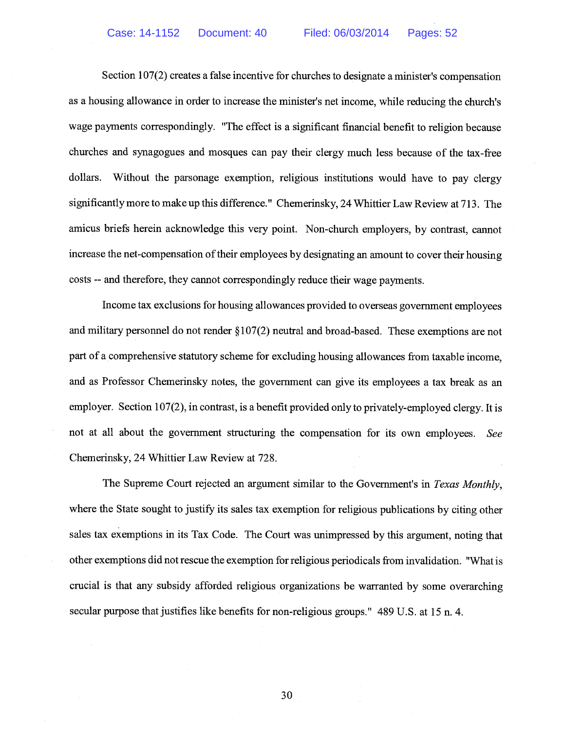Section 107(2) creates a false incentive for churches to designate a minister's compensation as a housing allowance in order to increase the minister's net income, while reducing the church's wage payments correspondingly. "The effect is a significant financial benefit to religion because churches and synagogues and mosques can pay their clergy much less because of the tax-free dollars. Without the parsonage exemption, religious institutions would have to pay clergy significantly more to make up this difference." Chemerinsky, 24 Whittier Law Review at 713. The amicus briefs herein acknowledge this very point. Non-church employers, by contrast, cannot increase the net-compensation of their employees by designating an amount to cover their housing costs -- and therefore, they cannot correspondingly reduce their wage payments.

Income tax exclusions for housing allowances provided to overseas government employees and military personnel do not render § 107(2) neutral and broad-based. These exemptions are not part of a comprehensive statutory scheme for excluding housing allowances from taxable income, and as Professor Chemerinsky notes, the government can give its employees a tax break as an employer. Section 107(2), in contrast, is a benefit provided only to privately-employed clergy. It is not at all about the government structuring the compensation for its own employees. See Chemerinsky, 24 Whittier Law Review at 728.

The Supreme Court rejected an argument similar to the Government's in Texas Monthly, where the State sought to justify its sales tax exemption for religious publications by citing other sales tax exemptions in its Tax Code. The Court was unimpressed by this argument, noting that other exemptions did not rescue the exemption for religious periodicals from invalidation. "What is crucial is that any subsidy afforded religious organizations be warranted by some overarching secular purpose that justifies like benefits for non-religious groups." 489 U.S. at 15 n. 4.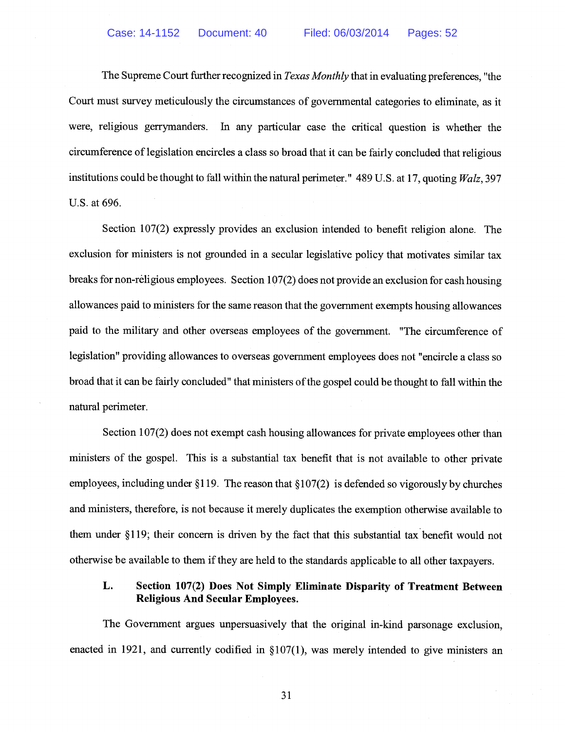The Supreme Court further recognized in Texas Monthly that in evaluating preferences, "the Court must survey meticulously the circumstances of governmental categories to eliminate, as it were, religious gerrymanders. In any particular case the critical question is whether the circumference of legislation encircles a class so broad that it can be fairly concluded that religious institutions could be thought to fall within the natural perimeter." 489 U.S. at 17, quoting Walz, 397 U.S. at 696.

Section 107(2) expressly provides an exclusion intended to benefit religion alone. The exclusion for ministers is not grounded in a secular legislative policy that motivates similar tax breaks for non-religious employees. Section 107(2) does not provide an exclusion for cash housing allowances paid to ministers for the same reason that the government exempts housing allowances paid to the military and other overseas employees of the government. "The circumference of legislation" providing allowances to overseas government employees does not "encircle a class so broad that it can be fairly concluded" that ministers of the gospel could be thought to fall within the natural perimeter.

Section 107(2) does not exempt cash housing allowances for private employees other than ministers of the gospel. This is a substantial tax benefit that is not available to other private employees, including under  $\S119$ . The reason that  $\S107(2)$  is defended so vigorously by churches and ministers, therefore, is not because it merely duplicates the exemption otherwise available to them under § 119; their concern is driven by the fact that this substantial tax benefit would not otherwise be available to them if they are held to the standards applicable to all other taxpayers.

## L. Section 107(2) Does Not Simply Eliminate Disparity of Treatment Between Religious And Secular Employees.

The Government argues unpersuasively that the original in-kind parsonage exclusion, enacted in 1921, and currently codified in §107(1), was merely intended to give ministers an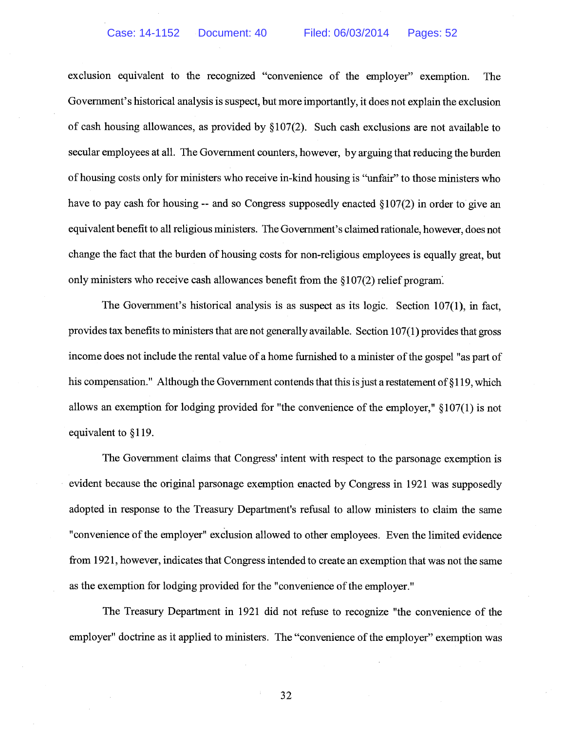exclusion equivalent to the recognized "convenience of the employer" exemption. The Government's historical analysis is suspect, but more importantly, it does not explain the exclusion of cash housing allowances, as provided by § 107(2). Such cash exclusions are not available to secular employees at all. The Government counters, however, by arguing that reducing the burden of housing costs only for ministers who receive in-kind housing is "unfair" to those ministers who have to pay cash for housing  $-$  and so Congress supposedly enacted  $\S107(2)$  in order to give an equivalent benefit to all religious ministers. The Government's claimed rationale, however, does not change the fact that the burden of housing costs for non-religious employees is equally great, but only ministers who receive cash allowances benefit from the § 107(2) relief program.

The Government's historical analysis is as suspect as its logic. Section 107(1), in fact, provides tax benefits to ministers that are not generally available. Section  $107(1)$  provides that gross income does not include the rental value of a home furnished to a minister ofthe gospel "as part of his compensation." Although the Government contends that this is just a restatement of  $\S119$ , which allows an exemption for lodging provided for "the convenience of the employer," § 107(1) is not equivalent to §119.

The Government claims that Congress' intent with respect to the parsonage exemption is evident because the original parsonage exemption enacted by Congress in 1921 was supposedly adopted in response to the Treasury Department's refusal to allow ministers to claim the same "convenience of the employer" exclusion allowed to other employees. Even the limited evidence from 1921, however, indicates that Congress intended to create an exemption that was not the same as the exemption for lodging provided for the "convenience of the employer."

The Treasury Department in 1921 did not refuse to recognize "the convenience of the employer" doctrine as it applied to ministers. The "convenience of the employer" exemption was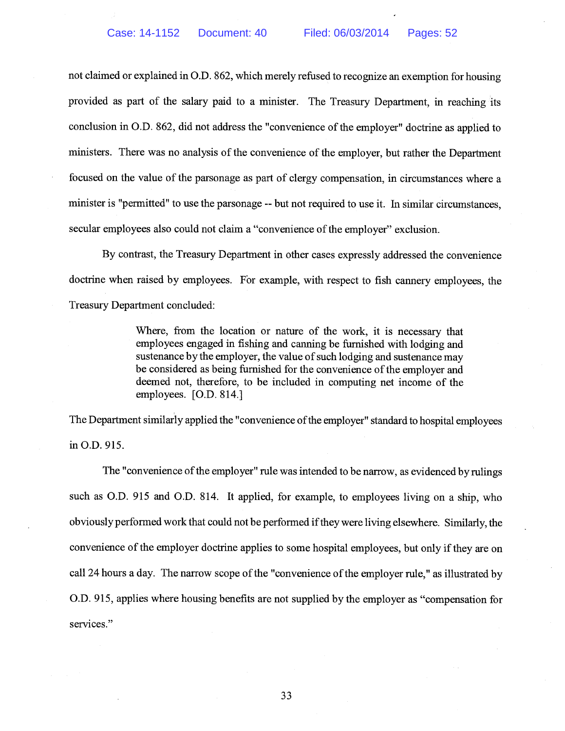not claimed or explained in O.D. 862, which merely refused to recognize an exemption for housing provided as part of the salary paid to a minister. The Treasury Department, in reaching its conclusion in O.D. 862, did not address the "convenience of the employer" doctrine as applied to ministers. There was no analysis of the convenience of the employer, but rather the Department focused on the value of the parsonage as part of clergy compensation, in circumstances where a minister is "permitted" to use the parsonage -- but not required to use it. In similar circumstances, secular employees also could not claim a "convenience of the employer" exclusion.

By contrast, the Treasury Department in other cases expressly addressed the convenience doctrine when raised by employees. For example, with respect to fish cannery employees, the Treasury Department concluded:

> Where, from the location or nature of the work, it is necessary that employees engaged in fishing and canning be furnished with lodging and sustenance by the employer, the value of such lodging and sustenance may be considered as being furnished for the convenience of the employer and deemed not, therefore, to be included in computing net income of the employees. [O.D. 814.]

The Department similarly applied the "convenience of the employer" standard to hospital employees in O.D. 915.

The "convenience of the employer" rule was intended to be narrow, as evidenced by rulings such as O.D. 915 and O.D. 814. It applied, for example, to employees living on a ship, who obviously performed work that could not be performed ifthey were living elsewhere. Similarly, the convenience of the employer doctrine applies to some hospital employees, but only if they are on call 24 hours a day. The narrow scope of the "convenience of the employer rule," as illustrated by O.D. 915, applies where housing benefits are not supplied by the employer as "compensation for services."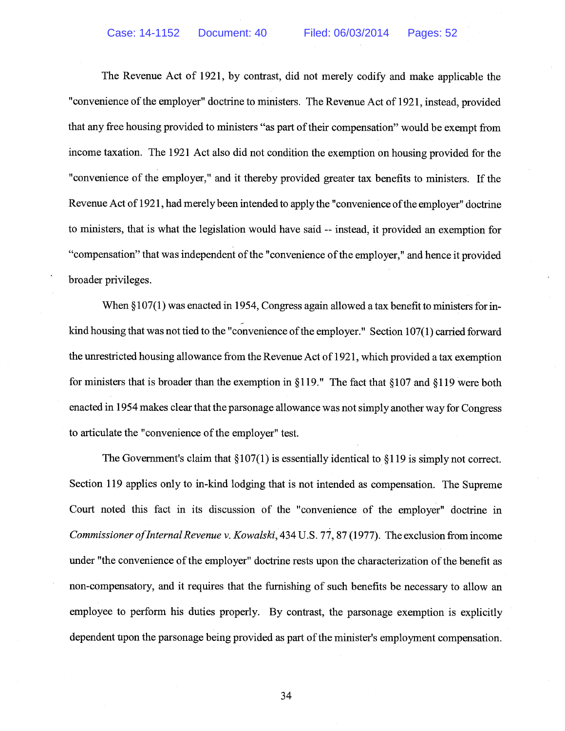The Revenue Act of 1921, by contrast, did not merely codify and make applicable the "convenience of the employer" doctrine to ministers. The Revenue Act of 1921, instead, provided that any free housing provided to ministers "as part of their compensation" would be exempt from income taxation. The 1921 Act also did not condition the exemption on housing provided for the "convenience of the employer," and it thereby provided greater tax benefits to ministers. If the Revenue Act of 1921, had merely been intended to apply the "convenience of the employer" doctrine to ministers, that is what the legislation would have said -- instead, it provided an exemption for "compensation" that was independent of the "convenience of the employer," and hence it provided broader privileges.

When §107(1) was enacted in 1954, Congress again allowed a tax benefit to ministers for inkind housing that was not tied to the "convenience of the employer." Section  $107(1)$  carried forward the unrestricted housing allowance from the Revenue Act of 1921, which provided a tax exemption for ministers that is broader than the exemption in §119." The fact that §107 and §119 were both enacted in 1954 makes clear that the parsonage allowance was not simply another way for Congress to articulate the "convenience of the employer" test.

The Government's claim that  $\S107(1)$  is essentially identical to  $\S119$  is simply not correct. Section 119 applies only to in-kind lodging that is not intended as compensation. The Supreme Court noted this fact in its discussion of the "convenience of the employer" doctrine in Commissioner of Internal Revenue v. Kowalski, 434 U.S. 77, 87 (1977). The exclusion from income under "the convenience of the employer" doctrine rests upon the characterization of the benefit as non-compensatory, and it requires that the furnishing of such benefits be necessary to allow an employee to perform his duties properly. By contrast, the parsonage exemption is explicitly dependent upon the parsonage being provided as part of the minister's employment compensation.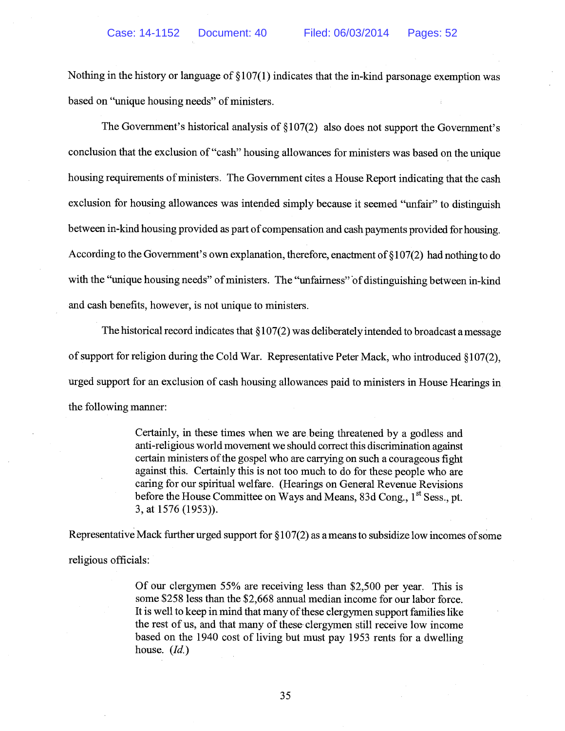Nothing in the history or language of § 107(1) indicates that the in-kind parsonage exemption was based on "unique housing needs" of ministers.

The Government's historical analysis of  $\S107(2)$  also does not support the Government's conclusion that the exclusion of "cash" housing allowances for ministers was based on the unique housing requirements of ministers. The Government cites a House Report indicating that the cash exclusion for housing allowances was intended simply because it seemed "unfair" to distinguish between in-kind housing provided as part of compensation and cash payments provided for housing. According to the Government's own explanation, therefore, enactment of § 107(2) had nothing to do with the "unique housing needs" of ministers. The "unfairness" of distinguishing between in-kind and cash benefits, however, is not unique to ministers.

The historical record indicates that  $\S 107(2)$  was deliberately intended to broadcast a message of support for religion during the Cold War. Representative Peter Mack, who introduced §107(2), urged support for an exclusion of cash housing allowances paid to ministers in House Hearings in the following manner:

> Certainly, in these times when we are being threatened by a godless and anti-religious world movement we should correct this discrimination against certain ministers of the gospel who are carrying on such a courageous fight against this. Certainly this is not too much to do for these people who are caring for our spiritual welfare. (Hearings on General Revenue Revisions before the House Committee on Ways and Means, 83d Cong., 1<sup>st</sup> Sess., pt. 3, at 1576 (1953)).

Representative Mack further urged support for  $\S107(2)$  as a means to subsidize low incomes of some religious officials:

> Of our clergymen 55% are receiving less than \$2,500 per year. This is some \$258 less than the \$2,668 annual median income for our labor force. It is well to keep in mind that many of these clergymen support families like the rest of us, and that many of these' clergymen still receive low income based on the 1940 cost of living but must pay 1953 rents for a dwelling house.  $(Id.)$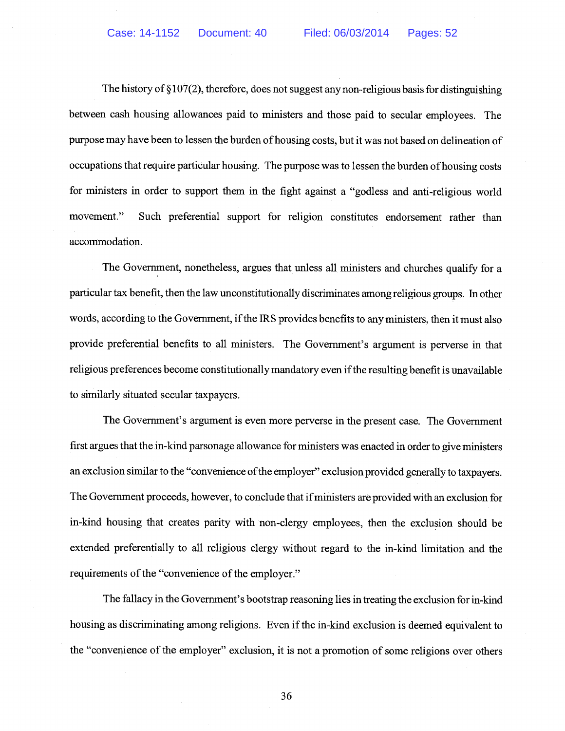The history of  $\S 107(2)$ , therefore, does not suggest any non-religious basis for distinguishing between cash housing allowances paid to ministers and those paid to secular employees. The purpose may have been to lessen the burden of housing costs, but it was not based on delineation of occupations that require particular housing. The purpose was to lessen the burden of housing costs for ministers in order to support them in the fight against a "godless and anti-religious world movement." Such preferential support for religion constitutes endorsement rather than accommodation.

The Government, nonetheless, argues that unless all ministers and churches qualify for a particular tax benefit, then the law unconstitutionally discriminates among religious groups. In other words, according to the Government, if the IRS provides benefits to any ministers, then it must also provide preferential benefits to all ministers. The Government's argument is perverse in that religious preferences become constitutionally mandatory even if the resulting benefit is unavailable to similarly situated secular taxpayers.

The Government's argument is even more perverse in the present case. The Government first argues that the in-kind parsonage allowance for ministers was enacted in order to give ministers an exclusion similar to the "convenience of the employer" exclusion provided generally to taxpayers. The Government proceeds, however, to conclude that ifministers are provided with an exclusion for in-kind housing that creates parity with non-clergy employees, then the exclusion should be extended preferentially to all religious clergy without regard to the in-kind limitation and the requirements of the "convenience of the employer."

The fallacy in the Government's bootstrap reasoning lies in treating the exclusion for in-kind housing as discriminating among religions. Even if the in-kind exclusion is deemed equivalent to the "convenience of the employer" exclusion, it is not a promotion of some religions over others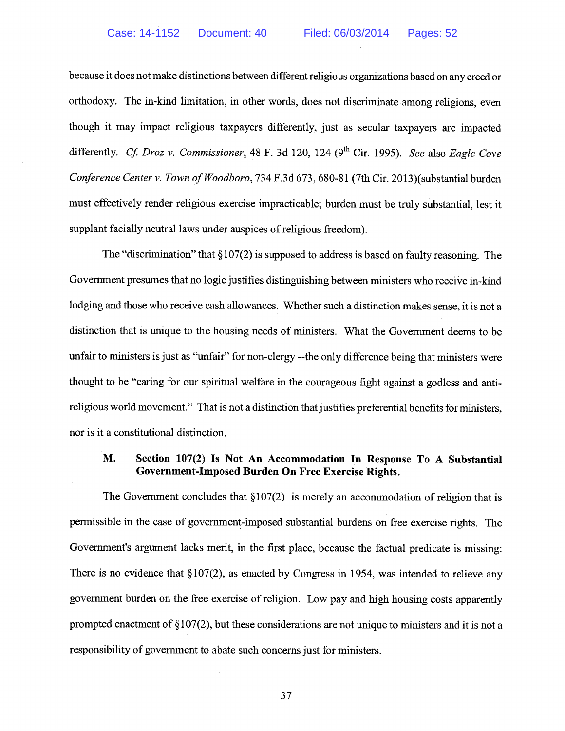because it does not make distinctions between different religious organizations based on any creed or orthodoxy. The in-kind limitation, in other words, does not discriminate among religions, even though it may impact religious taxpayers differently, just as secular taxpayers are impacted<br>differently. Cf. Droz v. Commissioner, 48 F. 3d 120, 124 (9<sup>th</sup> Cir. 1995). See also Eagle Cove Conference Center v. Town of Woodboro, 734 F.3d 673, 680-81 (7th Cir. 2013) (substantial burden must effectively render religious exercise impracticable; burden must be truly substantial, lest it supplant facially neutral laws under auspices of religious freedom).

The "discrimination" that  $\S107(2)$  is supposed to address is based on faulty reasoning. The Government presumes that no logic justifies distinguishing between ministers who receive in-kind lodging and those who receive cash allowances. Whether such a distinction makes sense, it is not a distinction that is unique to the housing needs of ministers. What the Government deems to be unfair to ministers is just as "unfair" for non-clergy --the only difference being that ministers were thought to be "caring for our spiritual welfare in the courageous fight against a godless and antireligious world movement." That is not a distinction that justifies preferential benefits for ministers, nor is it a constitutional distinction.

## M. Section 107(2) Is Not An Accommodation In Response To A Substantial Government-Imposed Burden On Free Exercise Rights.

The Government concludes that  $\S107(2)$  is merely an accommodation of religion that is pennissible in the case of government-imposed substantial burdens on free exercise rights. The Government's argument lacks merit, in the first place, because the factual predicate is missing: There is no evidence that  $\S 107(2)$ , as enacted by Congress in 1954, was intended to relieve any government burden on the free exercise of religion. Low pay and high housing costs apparently prompted enactment of  $\S107(2)$ , but these considerations are not unique to ministers and it is not a responsibility of government to abate such concerns just for ministers.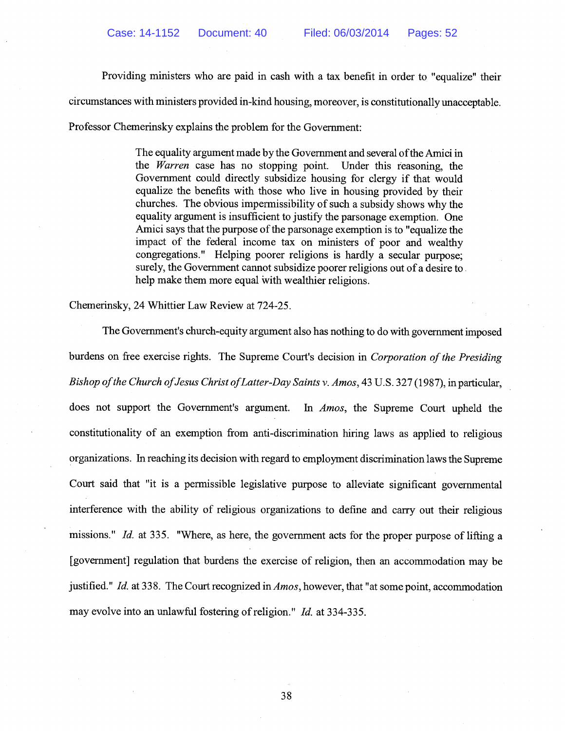Providing ministers who are paid in cash with a tax benefit in order to "equalize" their circumstances with ministers provided in-kind housing, moreover, is constitutionally unacceptable.

Professor Chemerinsky explains the problem for the Government:

The equality argument made by the Government and several of the Amici in the Warren case has no stopping point. Under this reasoning, the Government could directly subsidize housing for clergy if that would equalize the benefits with those who live in housing provided by their churches. The obvious impermissibility of such a subsidy shows why the equality argument is insufficient to justify the parsonage exemption. One Amici says that the purpose of the parsonage exemption is to "equalize the impact of the federal income tax on ministers of poor and wealthy congregations." Helping poorer religions is hardly a secular purpose; surely, the Government cannot subsidize poorer religions out of a desire to. help make them more equal with wealthier religions.

Chemerinsky, 24 Whittier Law Review at 724-25.

The Government's church-equity argument also has nothing to do with government imposed burdens on free exercise rights. The Supreme Court's decision in Corporation of the Presiding Bishop of the Church of Jesus Christ of Latter-Day Saints v. Amos, 43 U.S. 327 (1987), in particular, does not support the Government's argument. In *Amos*, the Supreme Court upheld the constitutionality of an exemption from anti-discrimination hiring laws as applied to religious organizations. In reaching its decision with regard to employment discrimination laws the Supreme Court said that "it is a permissible legislative purpose to alleviate significant governmental interference with the ability of religious organizations to define and carry out their religious missions." Id. at 335. "Where, as here, the government acts for the proper purpose of lifting a [government] regulation that burdens the exercise of religion, then an accommodation may be justified." Id. at 338. The Court recognized in  $Amos$ , however, that "at some point, accommodation may evolve into an unlawful fostering of religion." Id. at 334-335.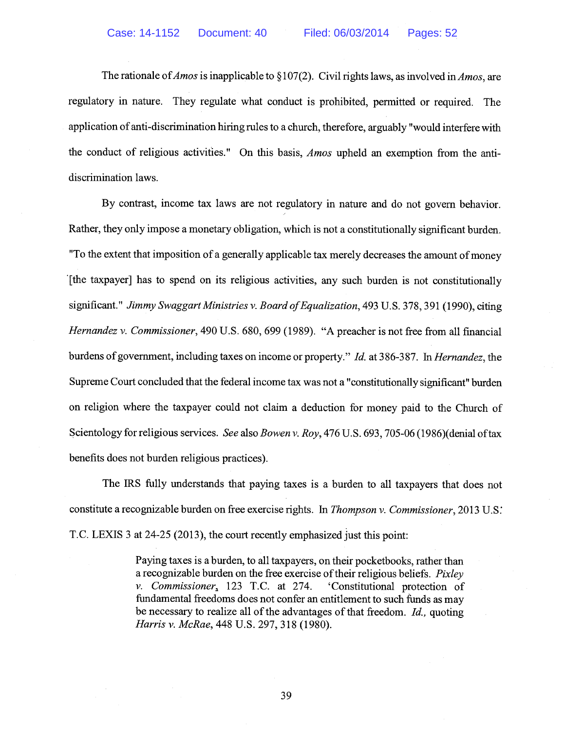The rationale of *Amos* is inapplicable to §107(2). Civil rights laws, as involved in *Amos*, are regulatory in nature. They regulate what conduct is prohibited, permitted or required. The application of anti-discrimination hiring rules to a church, therefore, arguably "would interfere with the conduct of religious activities." On this basis, Amos upheld an exemption from the antidiscrimination laws.

By contrast, income tax laws are not regulatory in nature and do not govern behavior. Rather, they only impose a monetary obligation, which is not a constitutionally significant burden. "To the extent that imposition of a generally applicable tax merely decreases the amount ofmoney [the taxpayer] has to spend on its religious activities, any such burden is not constitutionally significant." Jimmy Swaggart Ministries v. Board of Equalization, 493 U.S. 378, 391 (1990), citing Hernandez v. Commissioner, 490 U.S. 680, 699 (1989). "A preacher is not free from all financial burdens of government, including taxes on income or property." Id. at 386-387. In Hernandez, the Supreme Court concluded that the federal income tax was not a "constitutionally significant" burden on religion where the taxpayer could not claim a deduction for money paid to the Church of Scientology for religious services. See also Bowen v. Roy, 476 U.S. 693, 705-06 (1986) (denial of tax benefits does not burden religious practices).

The IRS fully understands that paying taxes is a burden to all taxpayers that does not constitute a recognizable burden on free exercise rights. In Thompson v. Commissioner, 2013 U.S. T.C. LEXIS <sup>3</sup> at 24-25 (2013), the court recently emphasized just this point:

> Paying taxes is a burden, to all taxpayers, on their pocketbooks, rather than a recognizable burden on the free exercise of their religious beliefs. Pixley v. Commissioner, 123 T.C. at 274. 'Constitutional protection of fundamental freedoms does not confer an entitlement to such funds as may be necessary to realize all of the advantages of that freedom. Id., quoting Harris v. McRae, 448 U.S. 297, 318 (1980).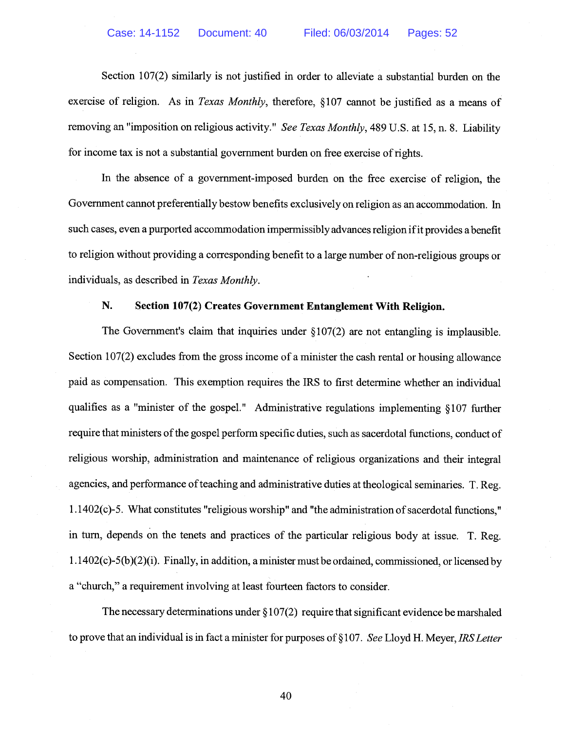Section 107(2) similarly is not justified in order to alleviate a substantial burden on the exercise of religion. As in *Texas Monthly*, therefore, \$107 cannot be justified as a means of removing an "imposition on religious activity." See Texas Monthly, 489 U.S. at 15, n. 8. Liability for income tax is not a substantial government burden on free exercise of rights.

In the absence of a government-imposed burden on the free exercise of religion, the Government cannot preferentially bestow benefits exclusively on religion as an accommodation. In such cases, even a purported accommodation impermissibly advances religion ifit provides a benefit to religion without providing a corresponding benefit to a large number of non-religious groups or individuals, as described in Texas Monthly.

## N. Section 107(2) Creates Government Entanglement With Religion.

The Government's claim that inquiries under  $\S 107(2)$  are not entangling is implausible. Section 107(2) excludes from the gross income of a minister the cash rental or housing allowance paid as compensation. This exemption requires the IRS to first determine whether an individual qualifies as a "minister of the gospel." Administrative regulations implementing § 107 further require that ministers of the gospel perform specific duties, such as sacerdotal functions, conduct of religious worship, administration and maintenance of religious organizations and their integral agencies, and performance of teaching and administrative duties at theological seminaries. T. Reg.  $1.1402(c)$ -5. What constitutes "religious worship" and "the administration of sacerdotal functions," in turn, depends on the tenets and practices of the particular religious body at issue. T. Reg. 1.1 402(c)-5(b)(2)(i). Finally, in addition, a minister must be ordained, commissioned, or licensed by a "church," a requirement involving at least fourteen factors to consider.

The necessary determinations under  $\S 107(2)$  require that significant evidence be marshaled to prove that an individual is in fact a minister for purposes of  $\S 107$ . See Lloyd H. Meyer, IRS Letter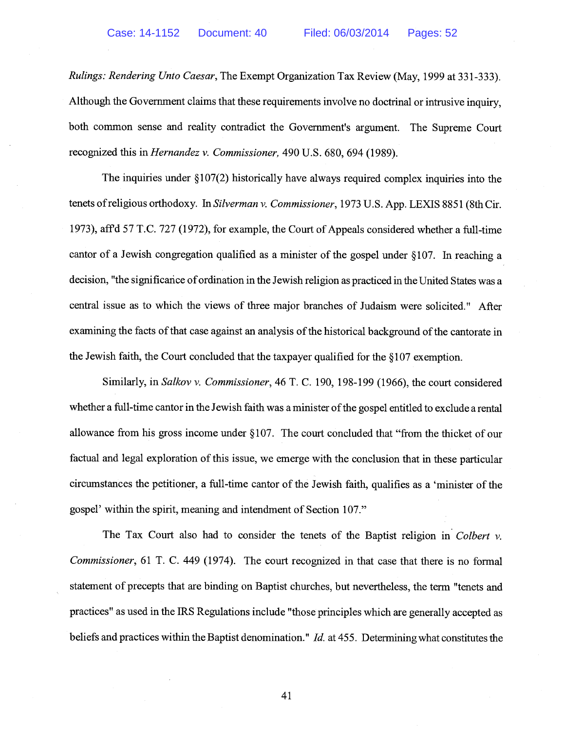Rulings: Rendering Unto Caesar, The Exempt Organization Tax Review (May, 1999 at 331-333). Although the Government claims that these requirements involve no doctrinal or intrusive inquiry, both common sense and reality contradict the Government's argument. The Supreme Court recognized this in Hernandez v. Commissioner, 490 U.S. 680, 694 (1989).

The inquiries under  $\S 107(2)$  historically have always required complex inquiries into the tenets ofreligious orthodoxy. In Silverman v. Commissioner, 1973 U.S. App. LEXIS 8851 (8th Cir. 1973), aff'd 57 T.C. 727 (1972), for example, the Court of Appeals considered whether a full-time cantor of a Jewish congregation qualified as a minister of the gospel under § 107. In reaching a decision, "the significance of ordination in the Jewish religion as practiced in the United States was a central issue as to which the views of three major branches of Judaism were solicited." After examining the facts of that case against an analysis of the historical background of the cantorate in the Jewish faith, the Court concluded that the taxpayer qualified for the § 107 exemption.

Similarly, in Salkov v. Commissioner, 46 T. C. 190, 198-199 (1966), the court considered whether a full-time cantor in the Jewish faith was a minister of the gospel entitled to exclude a rental allowance from his gross income under § 107. The court concluded that "from the thicket of our factual and legal exploration of this issue, we emerge with the conclusion that in these particular circumstances the petitioner, a full-time cantor of the Jewish faith, qualifies as a 'minister of the gospel' within the spirit, meaning and intendment of Section 107."

The Tax Court also had to consider the tenets of the Baptist religion in Colbert  $v$ . Commissioner, 61 T. C. 449 (1974). The court recognized in that case that there is no formal statement of precepts that are binding on Baptist churches, but nevertheless, the term "tenets and practices" as used in the IRS Regulations include "those principles which are generally accepted as beliefs and practices within the Baptist denomination." *Id.* at 455. Determining what constitutes the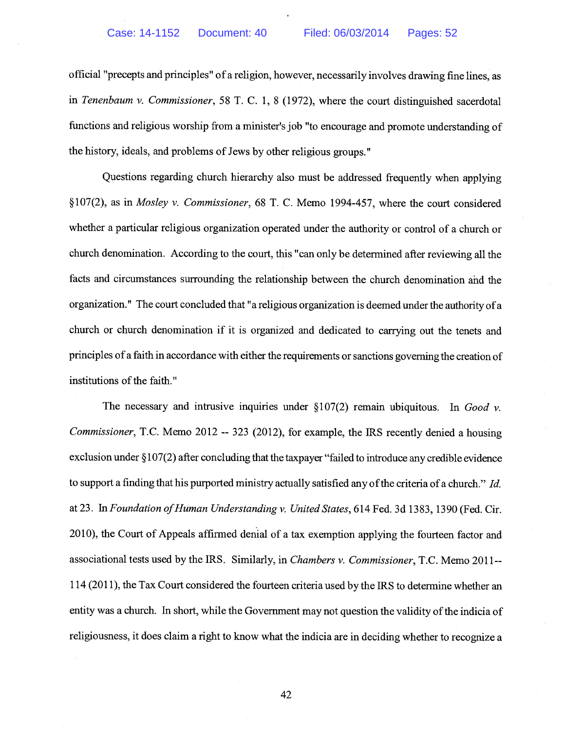official "precepts and principles" of a religion, however, necessarily involves drawing fine lines, as in Tenenbaum v. Commissioner, 58 T. C. 1, <sup>8</sup> (1972), where the court distinguished sacerdotal functions and religious worship from a minister's job "to encourage and promote understanding of the history, ideals, and problems of Jews by other religious groups."

Questions regarding church hierarchy also must be addressed frequently when applying §107(2), as in Mosley v. Commissioner, 68 T. C. Memo 1994-457, where the court considered whether a particular religious organization operated under the authority or control of a church or church denomination. According to the court, this "can only be determined after reviewing all the facts and circumstances surrounding the relationship between the church denomination and the organization." The court concluded that "a religious organization is deemed under the authority of a church or church denomination if it is organized and dedicated to carrying out the tenets and principles of a faith in accordance with either the requirements or sanctions governing the creation of institutions of the faith."

The necessary and intrusive inquiries under  $\S107(2)$  remain ubiquitous. In Good v. Commissioner, T.C. Memo 2012 -- 323 (2012), for example, the IRS recently denied a housing exclusion under § 107(2) after concluding that the taxpayer "failed to introduce any credible evidence to support a finding that his purported ministry actually satisfied any of the criteria of a church." Id. at 23. In Foundation of Human Understanding v. United States, 614 Fed. 3d 1383, 1390 (Fed. Cir. 2010), the Court of Appeals affirmed denial of a tax exemption applying the fourteen factor and associational tests used by the IRS. Similarly, in Chambers v. Commissioner, T.C. Memo 2011-- 114 (2011), the Tax Court considered the fourteen criteria used by the IRS to determine whether an entity was a church. In short, while the Government may not question the validity of the indicia of religiousness, it does claim a right to know what the indicia are in deciding whether to recognize a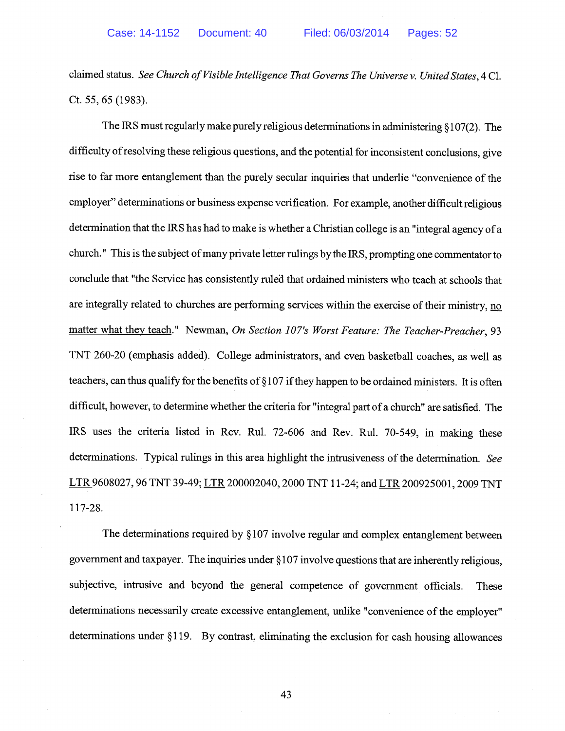claimed status. See Church of Visible Intelligence That Governs The Universe v. United States, 4 Cl. Ct. 55, 65 (1983).

The IRS must regularly make purely religious determinations in administering § 107(2). The difficulty ofresolving these religious questions, and the potential for inconsistent conclusions, give rise to far more entanglement than the purely secular inquiries that underlie "convenience of the employer" determinations or business expense verification. For example, another difficult religious determination that the IRS has had to make is whether a Christian college is an "integral agency of a church." This is the subject of many private letter rulings by the IRS, prompting one commentator to conclude that "the Service has consistently ruled that ordained ministers who teach at schools that are integrally related to churches are performing services within the exercise of their ministry, no matter what they teach." Newman, On Section 107's Worst Feature: The Teacher-Preacher, 93 TNT 260-20 (emphasis added). College administrators, and even basketball coaches, as well as teachers, can thus qualify for the benefits of § 107 ifthey happen to be ordained ministers. It is often difficult, however, to determine whether the criteria for "integral part of a church" are satisfied. The IRS uses the criteria listed in Rev. Rul. 72-606 and Rev. Rul. 70-549, in making these determinations. Typical rulings in this area highlight the intrusiveness of the determination. See LTR 9608027, 96 TNT 39-49; LTR 200002040,2000 TNT 11-24; and LTR 200925001, 2009 TNT 117-28.

The determinations required by §107 involve regular and complex entanglement between government and taxpayer. The inquiries under § 107 involve questions that are inherently religious, subjective, intrusive and beyond the general competence of government officials. These determinations necessarily create excessive entanglement, unlike "convenience of the employer" determinations under § 119. By contrast, eliminating the exclusion for cash housing allowances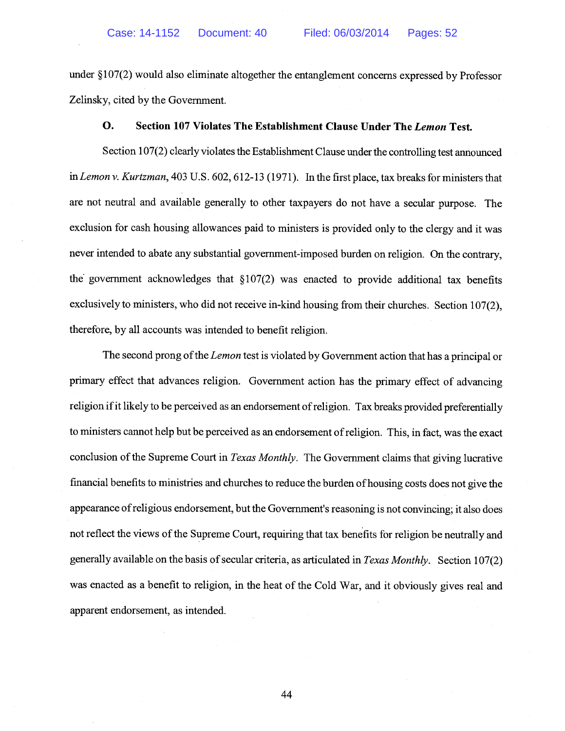under § 107(2) would also eliminate altogether the entanglement concerns expressed by Professor Zelinsky, cited by the Government.

## 0. Section 107 Violates The Establishment Clause Under The Lemon Test.

Section 107(2) clearly violates the Establishment Clause under the controlling test announced in Lemon v. Kurtzman, 403 U.S. 602, 612-13 (1971). In the first place, tax breaks for ministers that are not neutral and available generally to other taxpayers do not have a secular purpose. The exclusion for cash housing allowances paid to ministers is provided only to the clergy and it was never intended to abate any substantial government-imposed burden on religion. On the contrary, the government acknowledges that  $\S107(2)$  was enacted to provide additional tax benefits exclusively to ministers, who did not receive in-kind housing from their churches. Section 107(2), therefore, by all accounts was intended to benefit religion.

The second prong of the *Lemon* test is violated by Government action that has a principal or primary effect that advances religion. Government action has the primary effect of advancing religion if it likely to be perceived as an endorsement of religion. Tax breaks provided preferentially to ministers cannot help but be perceived as an endorsement ofreligion. This, in fact, was the exact conclusion of the Supreme Court in Texas Monthly. The Government claims that giving lucrative financial benefits to ministries and churches to reduce the burden ofhousing costs does not give the appearance ofreligious endorsement, but the Government's reasoning is not convincing; it also does not reflect the views of the Supreme Court, requiring that tax benefits for religion be neutrally and generally available on the basis of secular criteria, as articulated in Texas Monthly. Section  $107(2)$ was enacted as a benefit to religion, in the heat of the Cold War, and it obviously gives real and apparent endorsement, as intended.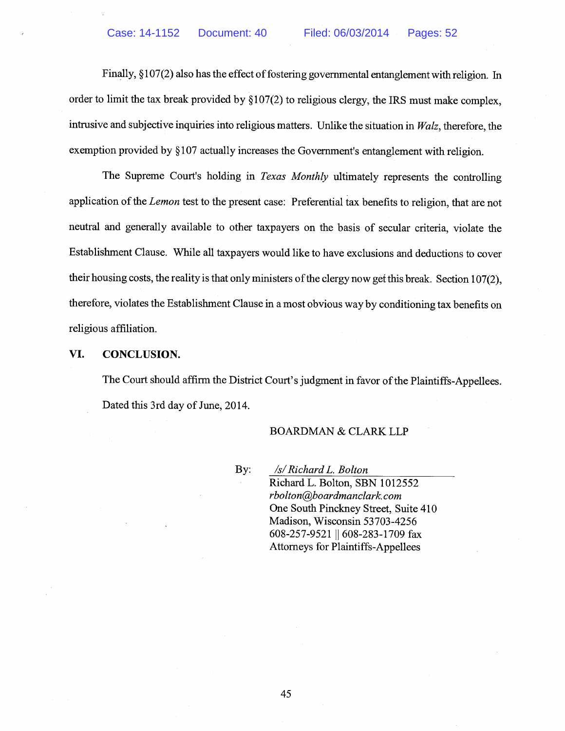Finally,  $\S107(2)$  also has the effect of fostering governmental entanglement with religion. In order to limit the tax break provided by § 107(2) to religious clergy, the IRS must make complex, intrusive and subjective inquiries into religious matters. Unlike the situation in Walz, therefore, the exemption provided by § 107 actually increases the Government's entanglement with religion.

The Supreme Court's holding in *Texas Monthly* ultimately represents the controlling application of the Lemon test to the present case: Preferential tax benefits to religion, that are not neutral and generally available to other taxpayers on the basis of secular criteria, violate the Establishment Clause. While all taxpayers would like to have exclusions and deductions to cover their housing costs, the reality is that only ministers of the clergy now get this break. Section 107(2), therefore, violates the Establishment Clause in a most obvious way by conditioning tax benefits on religious affiliation.

#### VI. CONCLUSION.

The Court should affirm the District Court's judgment in favor of the Plaintiffs-Appellees. Dated this 3rd day of June, 2014.

### BOARDMAN & CLARK LLP

By: /s/Richard L. Bolton Richard L. Bolton, SBN 1012552 rbolton@boardmanclark.com One South Pinckney Street, Suite 410 Madison, Wisconsin 53703-4256 608-257-9521 || 608-283-1709 fax Attorneys for Plaintiffs-Appellees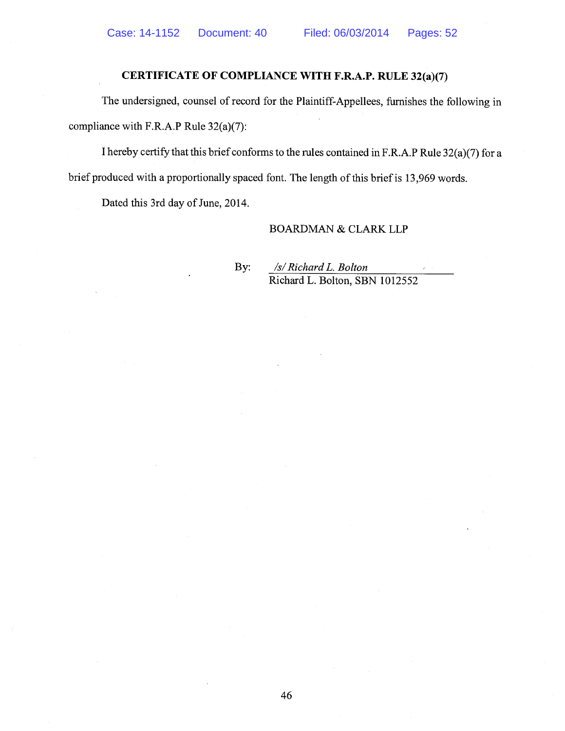## CERTIFICATE OF COMPLIANCE WITH F.R.A.P. RULE 32(a)(7)

The undersigned, counsel of record for the Plaintiff-Appellees, furnishes the following in compliance with F.R.A.P Rule 32(a)(7):

<sup>I</sup> hereby certify that this brief conforms to the rules contained in F.R.A.P Rule 32(a)(7) for a brief produced with a proportionally spaced font. The length of this brief is 13,969 words.

Dated this 3rd day of June, 2014.

#### BOARDMAN & CLARK LLP

By: /s/RichardL. Bolton Richard L. Bolton, SBN 1012552